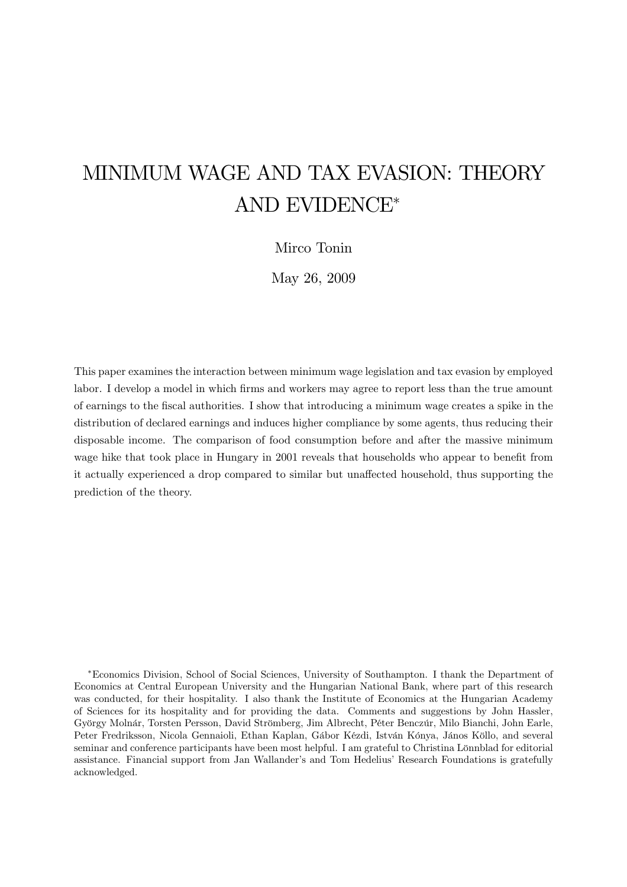# MINIMUM WAGE AND TAX EVASION: THEORY AND EVIDENCE\*

# Mirco Tonin

May 26, 2009

This paper examines the interaction between minimum wage legislation and tax evasion by employed labor. I develop a model in which firms and workers may agree to report less than the true amount of earnings to the fiscal authorities. I show that introducing a minimum wage creates a spike in the distribution of declared earnings and induces higher compliance by some agents, thus reducing their disposable income. The comparison of food consumption before and after the massive minimum wage hike that took place in Hungary in 2001 reveals that households who appear to benefit from it actually experienced a drop compared to similar but unaffected household, thus supporting the prediction of the theory.

\*Economics Division, School of Social Sciences, University of Southampton. I thank the Department of Economics at Central European University and the Hungarian National Bank, where part of this research was conducted, for their hospitality. I also thank the Institute of Economics at the Hungarian Academy of Sciences for its hospitality and for providing the data. Comments and suggestions by John Hassler, György Molnár, Torsten Persson, David Strömberg, Jim Albrecht, Péter Benczúr, Milo Bianchi, John Earle, Peter Fredriksson, Nicola Gennaioli, Ethan Kaplan, Gábor Kézdi, István Kónya, János Köllo, and several seminar and conference participants have been most helpful. I am grateful to Christina Lönnblad for editorial assistance. Financial support from Jan Wallander's and Tom Hedelius' Research Foundations is gratefully acknowledged.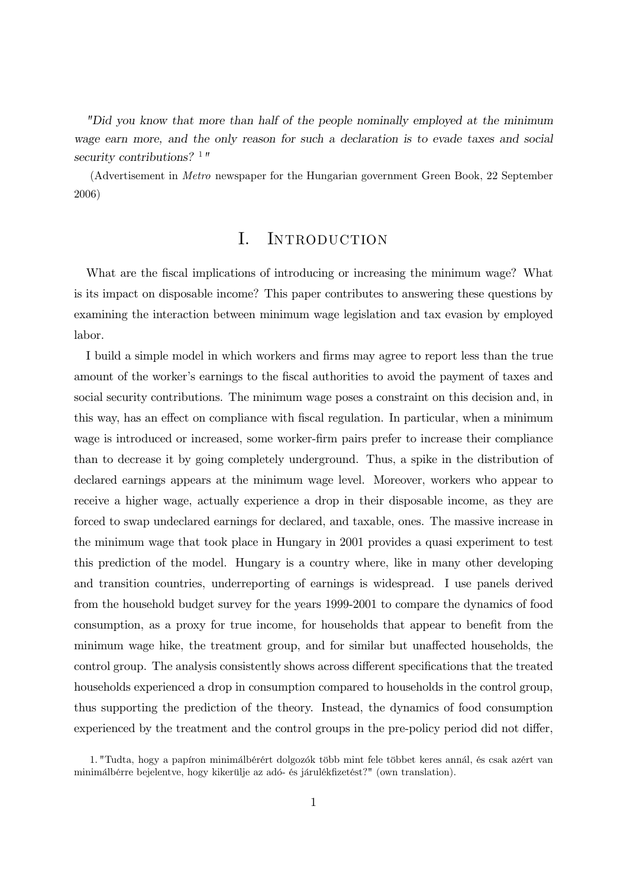"Did you know that more than half of the people nominally employed at the minimum wage earn more, and the only reason for such a declaration is to evade taxes and social security contributions?  $1$ "

(Advertisement in *Metro* newspaper for the Hungarian government Green Book, 22 September  $2006)$ 

### $\mathbf{I}$ . INTRODUCTION

What are the fiscal implications of introducing or increasing the minimum wage? What is its impact on disposable income? This paper contributes to answering these questions by examining the interaction between minimum wage legislation and tax evasion by employed labor.

I build a simple model in which workers and firms may agree to report less than the true amount of the worker's earnings to the fiscal authorities to avoid the payment of taxes and social security contributions. The minimum wage poses a constraint on this decision and, in this way, has an effect on compliance with fiscal regulation. In particular, when a minimum wage is introduced or increased, some worker-firm pairs prefer to increase their compliance than to decrease it by going completely underground. Thus, a spike in the distribution of declared earnings appears at the minimum wage level. Moreover, workers who appear to receive a higher wage, actually experience a drop in their disposable income, as they are forced to swap undeclared earnings for declared, and taxable, ones. The massive increase in the minimum wage that took place in Hungary in 2001 provides a quasi experiment to test this prediction of the model. Hungary is a country where, like in many other developing and transition countries, underreporting of earnings is widespread. I use panels derived from the household budget survey for the years 1999-2001 to compare the dynamics of food consumption, as a proxy for true income, for households that appear to benefit from the minimum wage hike, the treatment group, and for similar but unaffected households, the control group. The analysis consistently shows across different specifications that the treated households experienced a drop in consumption compared to households in the control group, thus supporting the prediction of the theory. Instead, the dynamics of food consumption experienced by the treatment and the control groups in the pre-policy period did not differ,

<sup>1. &</sup>quot;Tudta, hogy a papíron minimálbérért dolgozók több mint fele többet keres annál, és csak azért van minimálbérre bejelentve, hogy kikerülje az adó- és járulékfizetést?" (own translation).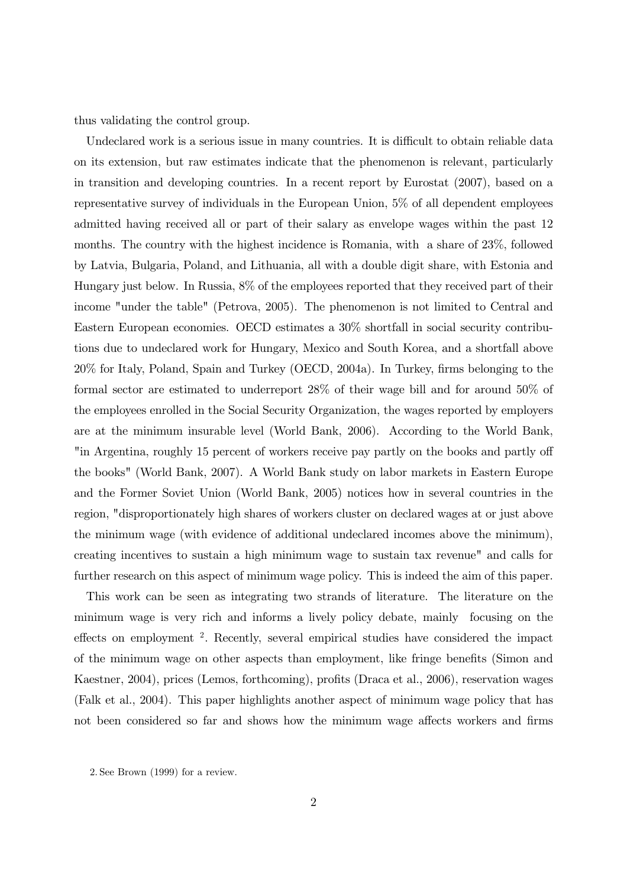thus validating the control group.

Undeclared work is a serious issue in many countries. It is difficult to obtain reliable data on its extension, but raw estimates indicate that the phenomenon is relevant, particularly in transition and developing countries. In a recent report by Eurostat (2007), based on a representative survey of individuals in the European Union,  $5\%$  of all dependent employees admitted having received all or part of their salary as envelope wages within the past 12 months. The country with the highest incidence is Romania, with a share of 23%, followed by Latvia, Bulgaria, Poland, and Lithuania, all with a double digit share, with Estonia and Hungary just below. In Russia, 8% of the employees reported that they received part of their income "under the table" (Petrova, 2005). The phenomenon is not limited to Central and Eastern European economies. OECD estimates a 30% shortfall in social security contributions due to undeclared work for Hungary, Mexico and South Korea, and a shortfall above 20% for Italy, Poland, Spain and Turkey (OECD, 2004a). In Turkey, firms belonging to the formal sector are estimated to underreport 28% of their wage bill and for around 50% of the employees enrolled in the Social Security Organization, the wages reported by employers are at the minimum insurable level (World Bank, 2006). According to the World Bank, "in Argentina, roughly 15 percent of workers receive pay partly on the books and partly off the books" (World Bank, 2007). A World Bank study on labor markets in Eastern Europe and the Former Soviet Union (World Bank, 2005) notices how in several countries in the region, "disproportionately high shares of workers cluster on declared wages at or just above the minimum wage (with evidence of additional undeclared incomes above the minimum), creating incentives to sustain a high minimum wage to sustain tax revenue" and calls for further research on this aspect of minimum wage policy. This is indeed the aim of this paper.

This work can be seen as integrating two strands of literature. The literature on the minimum wage is very rich and informs a lively policy debate, mainly focusing on the effects on employment<sup>2</sup>. Recently, several empirical studies have considered the impact of the minimum wage on other aspects than employment, like fringe benefits (Simon and Kaestner, 2004), prices (Lemos, forthcoming), profits (Draca et al., 2006), reservation wages (Falk et al., 2004). This paper highlights another aspect of minimum wage policy that has not been considered so far and shows how the minimum wage affects workers and firms

<sup>2.</sup> See Brown (1999) for a review.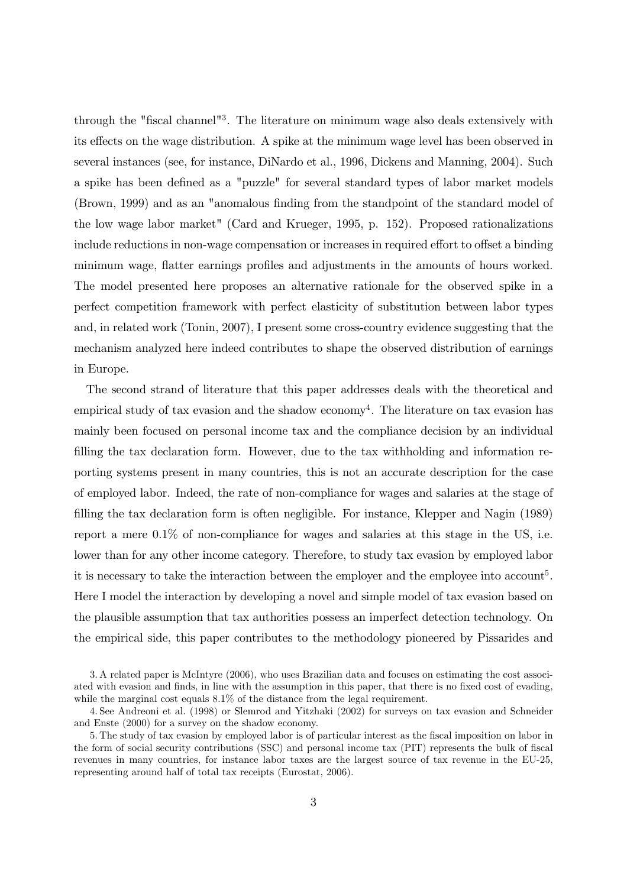through the "fiscal channel"<sup>3</sup>. The literature on minimum wage also deals extensively with its effects on the wage distribution. A spike at the minimum wage level has been observed in several instances (see, for instance, DiNardo et al., 1996, Dickens and Manning, 2004). Such a spike has been defined as a "puzzle" for several standard types of labor market models (Brown, 1999) and as an "anomalous finding from the standpoint of the standard model of the low wage labor market" (Card and Krueger, 1995, p. 152). Proposed rationalizations include reductions in non-wage compensation or increases in required effort to offset a binding minimum wage, flatter earnings profiles and adjustments in the amounts of hours worked. The model presented here proposes an alternative rationale for the observed spike in a perfect competition framework with perfect elasticity of substitution between labor types and, in related work (Tonin, 2007), I present some cross-country evidence suggesting that the mechanism analyzed here indeed contributes to shape the observed distribution of earnings in Europe.

The second strand of literature that this paper addresses deals with the theoretical and empirical study of tax evasion and the shadow economy<sup>4</sup>. The literature on tax evasion has mainly been focused on personal income tax and the compliance decision by an individual filling the tax declaration form. However, due to the tax withholding and information reporting systems present in many countries, this is not an accurate description for the case of employed labor. Indeed, the rate of non-compliance for wages and salaries at the stage of filling the tax declaration form is often negligible. For instance, Klepper and Nagin (1989) report a mere 0.1% of non-compliance for wages and salaries at this stage in the US, i.e. lower than for any other income category. Therefore, to study tax evasion by employed labor it is necessary to take the interaction between the employer and the employee into account<sup>5</sup>. Here I model the interaction by developing a novel and simple model of tax evasion based on the plausible assumption that tax authorities possess an imperfect detection technology. On the empirical side, this paper contributes to the methodology pioneered by Pissarides and

<sup>3.</sup> A related paper is McIntyre (2006), who uses Brazilian data and focuses on estimating the cost associated with evasion and finds, in line with the assumption in this paper, that there is no fixed cost of evading, while the marginal cost equals  $8.1\%$  of the distance from the legal requirement.

<sup>4.</sup> See Andreoni et al. (1998) or Slemrod and Yitzhaki (2002) for surveys on tax evasion and Schneider and Enste  $(2000)$  for a survey on the shadow economy.

<sup>5.</sup> The study of tax evasion by employed labor is of particular interest as the fiscal imposition on labor in the form of social security contributions (SSC) and personal income tax (PIT) represents the bulk of fiscal revenues in many countries, for instance labor taxes are the largest source of tax revenue in the EU-25. representing around half of total tax receipts (Eurostat, 2006).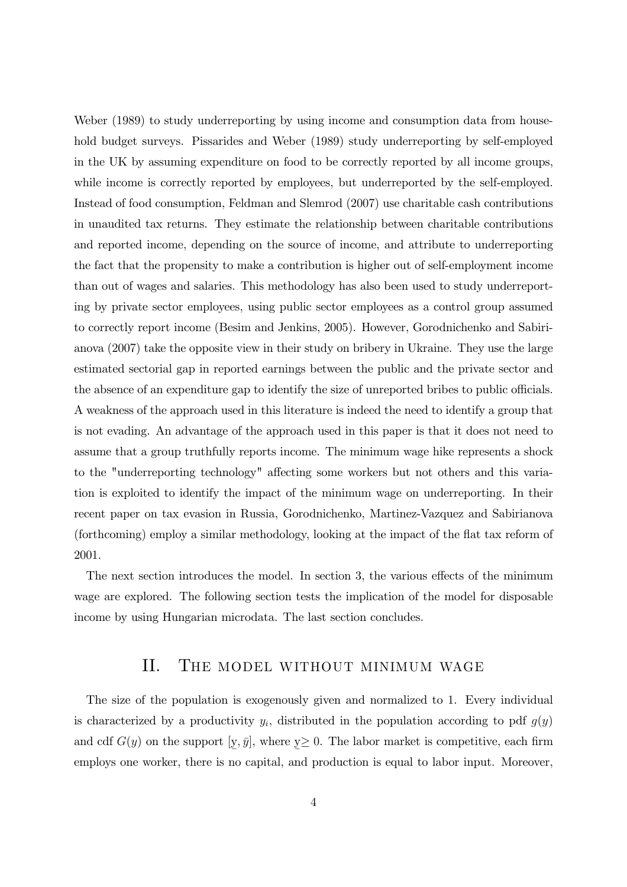Weber (1989) to study underreporting by using income and consumption data from household budget surveys. Pissarides and Weber (1989) study underreporting by self-employed in the UK by assuming expenditure on food to be correctly reported by all income groups, while income is correctly reported by employees, but underreported by the self-employed. Instead of food consumption, Feldman and Slemrod (2007) use charitable cash contributions in unaudited tax returns. They estimate the relationship between charitable contributions and reported income, depending on the source of income, and attribute to underreporting the fact that the propensity to make a contribution is higher out of self-employment income than out of wages and salaries. This methodology has also been used to study underreporting by private sector employees, using public sector employees as a control group assumed to correctly report income (Besim and Jenkins, 2005). However, Gorodnichenko and Sabirianova (2007) take the opposite view in their study on bribery in Ukraine. They use the large estimated sectorial gap in reported earnings between the public and the private sector and the absence of an expenditure gap to identify the size of unreported bribes to public officials. A weakness of the approach used in this literature is indeed the need to identify a group that is not evading. An advantage of the approach used in this paper is that it does not need to assume that a group truthfully reports income. The minimum wage hike represents a shock to the "underreporting technology" affecting some workers but not others and this variation is exploited to identify the impact of the minimum wage on underreporting. In their recent paper on tax evasion in Russia, Gorodnichenko, Martinez-Vazquez and Sabirianova (forthcoming) employ a similar methodology, looking at the impact of the flat tax reform of 2001.

The next section introduces the model. In section 3, the various effects of the minimum wage are explored. The following section tests the implication of the model for disposable income by using Hungarian microdata. The last section concludes.

### Π. THE MODEL WITHOUT MINIMUM WAGE

The size of the population is exogenously given and normalized to 1. Every individual is characterized by a productivity  $y_i$ , distributed in the population according to pdf  $g(y)$ and cdf  $G(y)$  on the support [y,  $\bar{y}$ ], where  $y \ge 0$ . The labor market is competitive, each firm employs one worker, there is no capital, and production is equal to labor input. Moreover,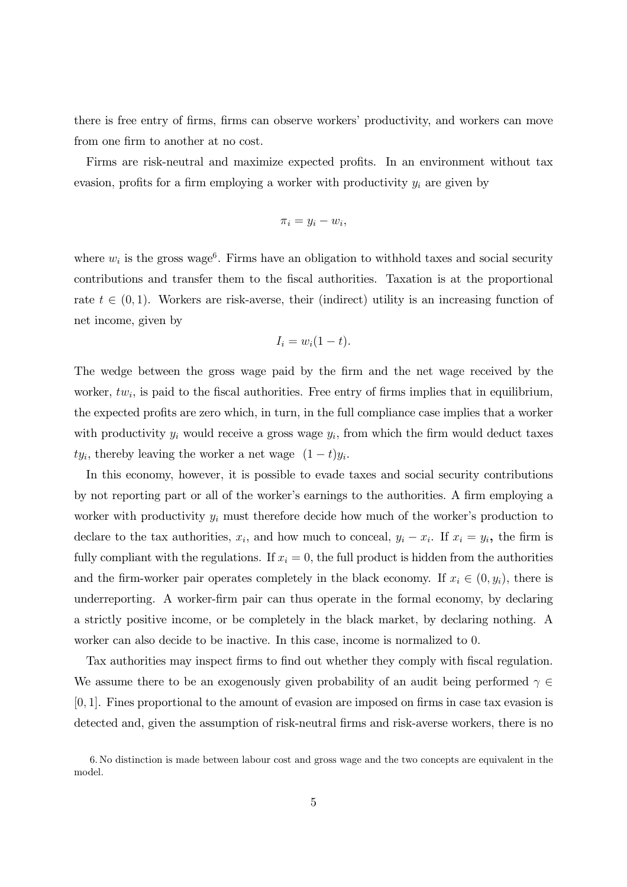there is free entry of firms, firms can observe workers' productivity, and workers can move from one firm to another at no cost.

Firms are risk-neutral and maximize expected profits. In an environment without tax evasion, profits for a firm employing a worker with productivity  $y_i$  are given by

$$
\pi_i = y_i - w_i,
$$

where  $w_i$  is the gross wage<sup>6</sup>. Firms have an obligation to withhold taxes and social security contributions and transfer them to the fiscal authorities. Taxation is at the proportional rate  $t \in (0,1)$ . Workers are risk-averse, their (indirect) utility is an increasing function of net income, given by

$$
I_i = w_i(1-t).
$$

The wedge between the gross wage paid by the firm and the net wage received by the worker,  $tw_i$ , is paid to the fiscal authorities. Free entry of firms implies that in equilibrium, the expected profits are zero which, in turn, in the full compliance case implies that a worker with productivity  $y_i$  would receive a gross wage  $y_i$ , from which the firm would deduct taxes  $ty_i$ , thereby leaving the worker a net wage  $(1-t)y_i$ .

In this economy, however, it is possible to evade taxes and social security contributions by not reporting part or all of the worker's earnings to the authorities. A firm employing a worker with productivity  $y_i$  must therefore decide how much of the worker's production to declare to the tax authorities,  $x_i$ , and how much to conceal,  $y_i - x_i$ . If  $x_i = y_i$ , the firm is fully compliant with the regulations. If  $x_i = 0$ , the full product is hidden from the authorities and the firm-worker pair operates completely in the black economy. If  $x_i \in (0, y_i)$ , there is underreporting. A worker-firm pair can thus operate in the formal economy, by declaring a strictly positive income, or be completely in the black market, by declaring nothing. A worker can also decide to be inactive. In this case, income is normalized to 0.

Tax authorities may inspect firms to find out whether they comply with fiscal regulation. We assume there to be an exogenously given probability of an audit being performed  $\gamma \in$  $[0, 1]$ . Fines proportional to the amount of evasion are imposed on firms in case tax evasion is detected and, given the assumption of risk-neutral firms and risk-averse workers, there is no

<sup>6.</sup> No distinction is made between labour cost and gross wage and the two concepts are equivalent in the model.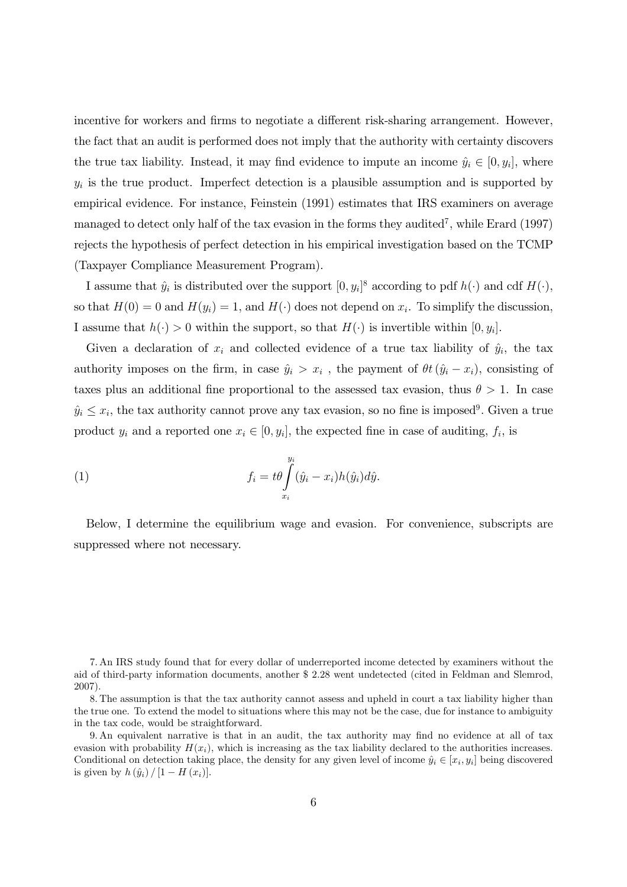incentive for workers and firms to negotiate a different risk-sharing arrangement. However, the fact that an audit is performed does not imply that the authority with certainty discovers the true tax liability. Instead, it may find evidence to impute an income  $\hat{y}_i \in [0, y_i]$ , where  $y_i$  is the true product. Imperfect detection is a plausible assumption and is supported by empirical evidence. For instance, Feinstein (1991) estimates that IRS examiners on average managed to detect only half of the tax evasion in the forms they audited<sup>7</sup>, while Erard (1997) rejects the hypothesis of perfect detection in his empirical investigation based on the TCMP (Taxpayer Compliance Measurement Program).

I assume that  $\hat{y}_i$  is distributed over the support  $[0, y_i]^8$  according to pdf  $h(\cdot)$  and cdf  $H(\cdot)$ , so that  $H(0) = 0$  and  $H(y_i) = 1$ , and  $H(\cdot)$  does not depend on  $x_i$ . To simplify the discussion, I assume that  $h(\cdot) > 0$  within the support, so that  $H(\cdot)$  is invertible within  $[0, y_i]$ .

Given a declaration of  $x_i$  and collected evidence of a true tax liability of  $\hat{y}_i$ , the tax authority imposes on the firm, in case  $\hat{y}_i > x_i$ , the payment of  $\theta t (\hat{y}_i - x_i)$ , consisting of taxes plus an additional fine proportional to the assessed tax evasion, thus  $\theta > 1$ . In case  $\hat{y}_i \leq x_i$ , the tax authority cannot prove any tax evasion, so no fine is imposed<sup>9</sup>. Given a true product  $y_i$  and a reported one  $x_i \in [0, y_i]$ , the expected fine in case of auditing,  $f_i$ , is

(1) 
$$
f_i = t\theta \int\limits_{x_i}^{y_i} (\hat{y}_i - x_i) h(\hat{y}_i) d\hat{y}.
$$

Below, I determine the equilibrium wage and evasion. For convenience, subscripts are suppressed where not necessary.

<sup>7.</sup> An IRS study found that for every dollar of underreported income detected by examiners without the aid of third-party information documents, another \$2.28 went undetected (cited in Feldman and Slemrod,  $2007$ ).

<sup>8.</sup> The assumption is that the tax authority cannot assess and upheld in court a tax liability higher than the true one. To extend the model to situations where this may not be the case, due for instance to ambiguity in the tax code, would be straightforward.

<sup>9.</sup> An equivalent narrative is that in an audit, the tax authority may find no evidence at all of tax evasion with probability  $H(x_i)$ , which is increasing as the tax liability declared to the authorities increases. Conditional on detection taking place, the density for any given level of income  $\hat{y}_i \in [x_i, y_i]$  being discovered is given by  $h(\hat{y}_i) / [1 - H(x_i)].$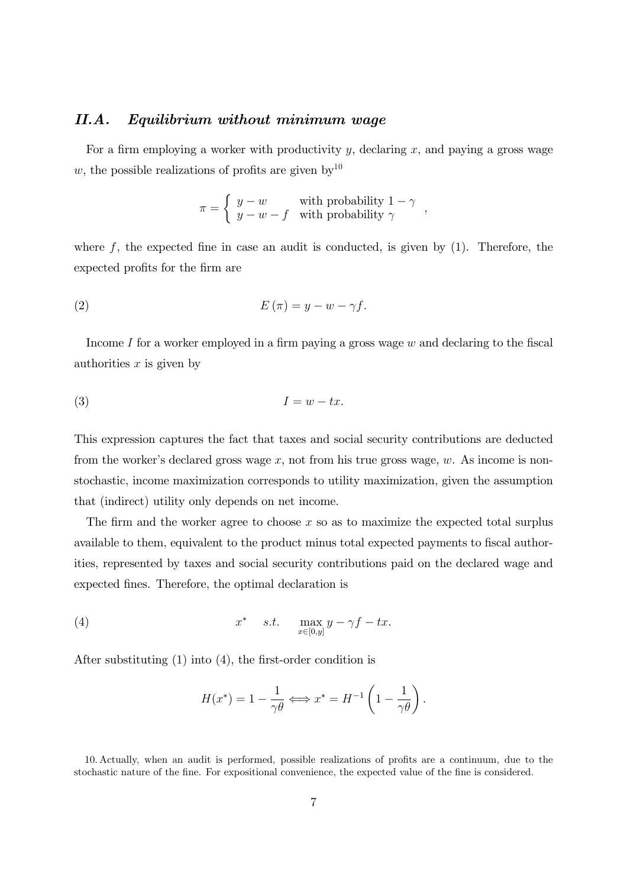#### $II.A.$ Equilibrium without minimum wage

For a firm employing a worker with productivity  $y$ , declaring  $x$ , and paying a gross wage w, the possible realizations of profits are given by  $10^{10}$ 

$$
\pi = \begin{cases} y - w & \text{with probability } 1 - \gamma \\ y - w - f & \text{with probability } \gamma \end{cases}.
$$

where  $f$ , the expected fine in case an audit is conducted, is given by  $(1)$ . Therefore, the expected profits for the firm are

$$
(2) \tE(\pi) = y - w - \gamma f.
$$

Income I for a worker employed in a firm paying a gross wage  $w$  and declaring to the fiscal authorities  $x$  is given by

$$
(3) \tI = w - tx.
$$

This expression captures the fact that taxes and social security contributions are deducted from the worker's declared gross wage  $x$ , not from his true gross wage,  $w$ . As income is nonstochastic, income maximization corresponds to utility maximization, given the assumption that (indirect) utility only depends on net income.

The firm and the worker agree to choose  $x$  so as to maximize the expected total surplus available to them, equivalent to the product minus total expected payments to fiscal authorities, represented by taxes and social security contributions paid on the declared wage and expected fines. Therefore, the optimal declaration is

(4) 
$$
x^* \quad s.t. \quad \max_{x \in [0,y]} y - \gamma f - tx.
$$

After substituting  $(1)$  into  $(4)$ , the first-order condition is

$$
H(x^*) = 1 - \frac{1}{\gamma \theta} \Longleftrightarrow x^* = H^{-1} \left( 1 - \frac{1}{\gamma \theta} \right).
$$

<sup>10.</sup> Actually, when an audit is performed, possible realizations of profits are a continuum, due to the stochastic nature of the fine. For expositional convenience, the expected value of the fine is considered.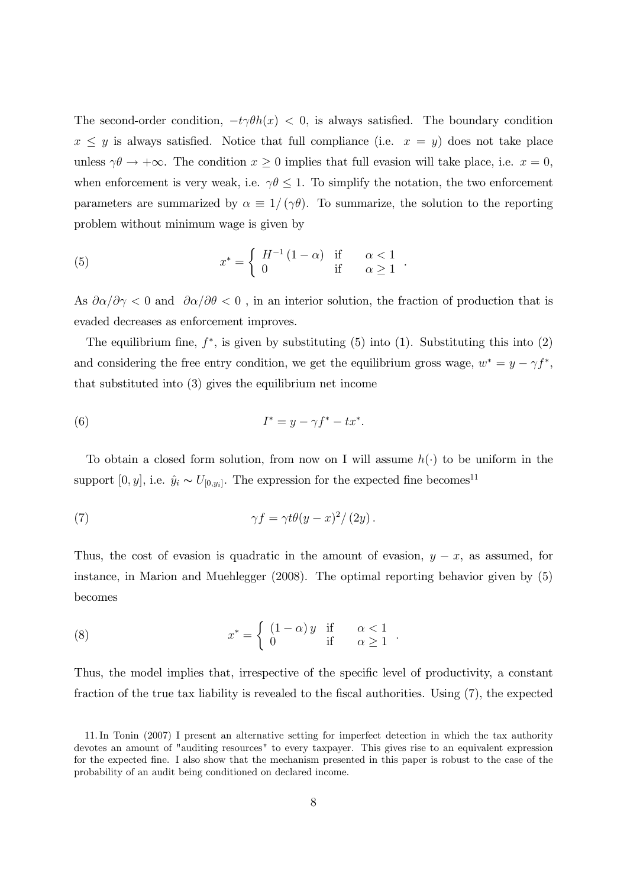The second-order condition,  $-t\gamma\theta h(x) < 0$ , is always satisfied. The boundary condition  $x \leq y$  is always satisfied. Notice that full compliance (i.e.  $x = y$ ) does not take place unless  $\gamma \theta \to +\infty$ . The condition  $x \ge 0$  implies that full evasion will take place, i.e.  $x = 0$ , when enforcement is very weak, i.e.  $\gamma \theta \leq 1$ . To simplify the notation, the two enforcement parameters are summarized by  $\alpha \equiv 1/(\gamma \theta)$ . To summarize, the solution to the reporting problem without minimum wage is given by

(5) 
$$
x^* = \begin{cases} H^{-1}(1-\alpha) & \text{if } \alpha < 1\\ 0 & \text{if } \alpha \ge 1 \end{cases}
$$

As  $\partial \alpha/\partial \gamma < 0$  and  $\partial \alpha/\partial \theta < 0$ , in an interior solution, the fraction of production that is evaded decreases as enforcement improves.

The equilibrium fine,  $f^*$ , is given by substituting (5) into (1). Substituting this into (2) and considering the free entry condition, we get the equilibrium gross wage,  $w^* = y - \gamma f^*$ , that substituted into  $(3)$  gives the equilibrium net income

$$
(6) \tI^* = y - \gamma f^* - tx^*.
$$

To obtain a closed form solution, from now on I will assume  $h(\cdot)$  to be uniform in the support [0, y], i.e.  $\hat{y}_i \thicksim U_{[0,y_i]}.$  The expression for the expected fine becomes  $^{11}$ 

(7) 
$$
\gamma f = \gamma t \theta (y - x)^2 / (2y).
$$

Thus, the cost of evasion is quadratic in the amount of evasion,  $y - x$ , as assumed, for instance, in Marion and Muehlegger  $(2008)$ . The optimal reporting behavior given by  $(5)$ becomes

(8) 
$$
x^* = \begin{cases} (1 - \alpha) y & \text{if } \alpha < 1 \\ 0 & \text{if } \alpha \ge 1 \end{cases}
$$

Thus, the model implies that, irrespective of the specific level of productivity, a constant fraction of the true tax liability is revealed to the fiscal authorities. Using (7), the expected

<sup>11.</sup> In Tonin (2007) I present an alternative setting for imperfect detection in which the tax authority devotes an amount of "auditing resources" to every taxpayer. This gives rise to an equivalent expression for the expected fine. I also show that the mechanism presented in this paper is robust to the case of the probability of an audit being conditioned on declared income.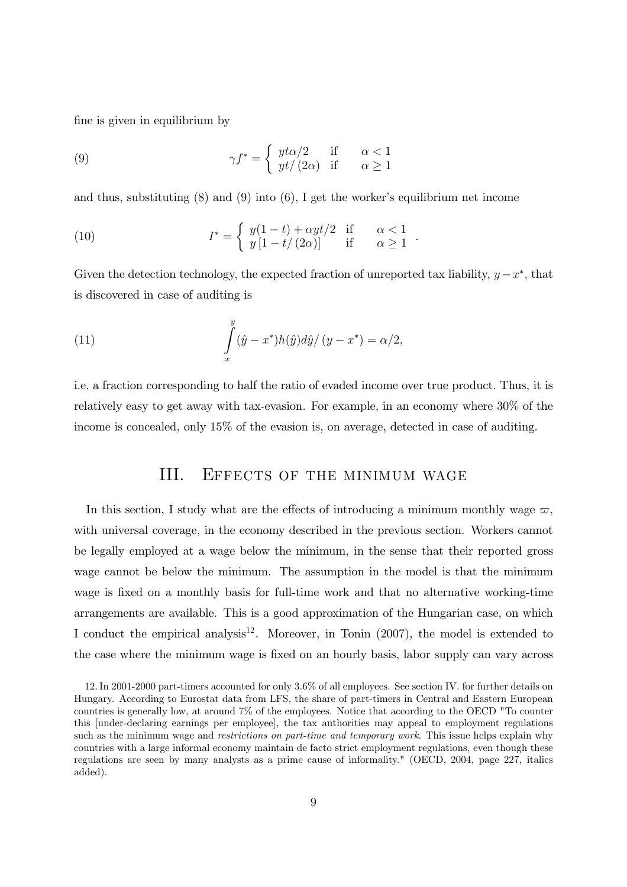fine is given in equilibrium by

(9) 
$$
\gamma f^* = \begin{cases} y t \alpha/2 & \text{if } \alpha < 1 \\ yt/(2\alpha) & \text{if } \alpha \ge 1 \end{cases}
$$

and thus, substituting  $(8)$  and  $(9)$  into  $(6)$ , I get the worker's equilibrium net income

(10) 
$$
I^* = \begin{cases} y(1-t) + \alpha y t/2 & \text{if } \alpha < 1\\ y[1-t/(2\alpha)] & \text{if } \alpha \ge 1 \end{cases}
$$

Given the detection technology, the expected fraction of unreported tax liability,  $y - x^*$ , that is discovered in case of auditing is

(11) 
$$
\int_{x}^{y} (\hat{y} - x^*) h(\hat{y}) d\hat{y} / (y - x^*) = \alpha/2,
$$

i.e. a fraction corresponding to half the ratio of evaded income over true product. Thus, it is relatively easy to get away with tax-evasion. For example, in an economy where 30% of the income is concealed, only 15% of the evasion is, on average, detected in case of auditing.

### HI. EFFECTS OF THE MINIMUM WAGE

In this section, I study what are the effects of introducing a minimum monthly wage  $\varpi$ , with universal coverage, in the economy described in the previous section. Workers cannot be legally employed at a wage below the minimum, in the sense that their reported gross wage cannot be below the minimum. The assumption in the model is that the minimum wage is fixed on a monthly basis for full-time work and that no alternative working-time arrangements are available. This is a good approximation of the Hungarian case, on which I conduct the empirical analysis<sup>12</sup>. Moreover, in Tonin (2007), the model is extended to the case where the minimum wage is fixed on an hourly basis, labor supply can vary across

<sup>12.</sup> In 2001-2000 part-timers accounted for only 3.6% of all employees. See section IV. for further details on Hungary. According to Eurostat data from LFS, the share of part-timers in Central and Eastern European countries is generally low, at around 7% of the employees. Notice that according to the OECD "To counter this funder-declaring earnings per employee, the tax authorities may appeal to employment regulations such as the minimum wage and restrictions on part-time and temporary work. This issue helps explain why countries with a large informal economy maintain de facto strict employment regulations, even though these regulations are seen by many analysts as a prime cause of informality." (OECD, 2004, page 227, italics added).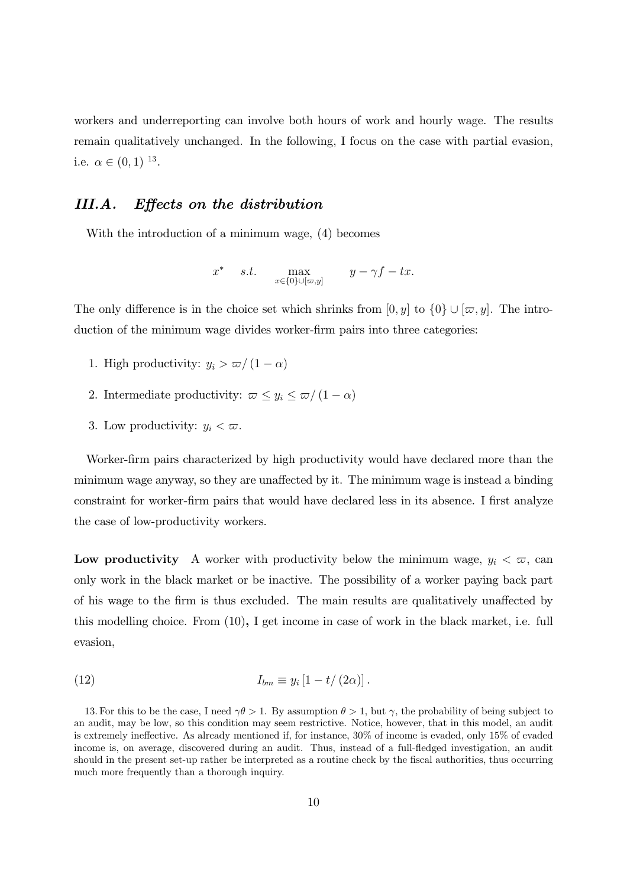workers and underreporting can involve both hours of work and hourly wage. The results remain qualitatively unchanged. In the following, I focus on the case with partial evasion, i.e.  $\alpha \in (0,1)^{13}$ .

#### III.A. Effects on the distribution

With the introduction of a minimum wage,  $(4)$  becomes

$$
x^* \quad s.t. \quad \max_{x \in \{0\} \cup [\varpi, y]} \quad y - \gamma f - tx.
$$

The only difference is in the choice set which shrinks from  $[0, y]$  to  $\{0\} \cup [\varpi, y]$ . The introduction of the minimum wage divides worker-firm pairs into three categories:

- 1. High productivity:  $y_i > \varpi/(1-\alpha)$
- 2. Intermediate productivity:  $\varpi \leq y_i \leq \varpi/(1-\alpha)$
- 3. Low productivity:  $y_i < \varpi$ .

Worker-firm pairs characterized by high productivity would have declared more than the minimum wage anyway, so they are unaffected by it. The minimum wage is instead a binding constraint for worker-firm pairs that would have declared less in its absence. I first analyze the case of low-productivity workers.

**Low productivity** A worker with productivity below the minimum wage,  $y_i < \varpi$ , can only work in the black market or be inactive. The possibility of a worker paying back part of his wage to the firm is thus excluded. The main results are qualitatively unaffected by this modelling choice. From  $(10)$ , I get income in case of work in the black market, i.e. full evasion,

$$
I_{bm} \equiv y_i \left[1 - t/(2\alpha)\right].
$$

13. For this to be the case, I need  $\gamma \theta > 1$ . By assumption  $\theta > 1$ , but  $\gamma$ , the probability of being subject to an audit, may be low, so this condition may seem restrictive. Notice, however, that in this model, an audit is extremely ineffective. As already mentioned if, for instance, 30% of income is evaded, only 15% of evaded income is, on average, discovered during an audit. Thus, instead of a full-fledged investigation, an audit should in the present set-up rather be interpreted as a routine check by the fiscal authorities, thus occurring much more frequently than a thorough inquiry.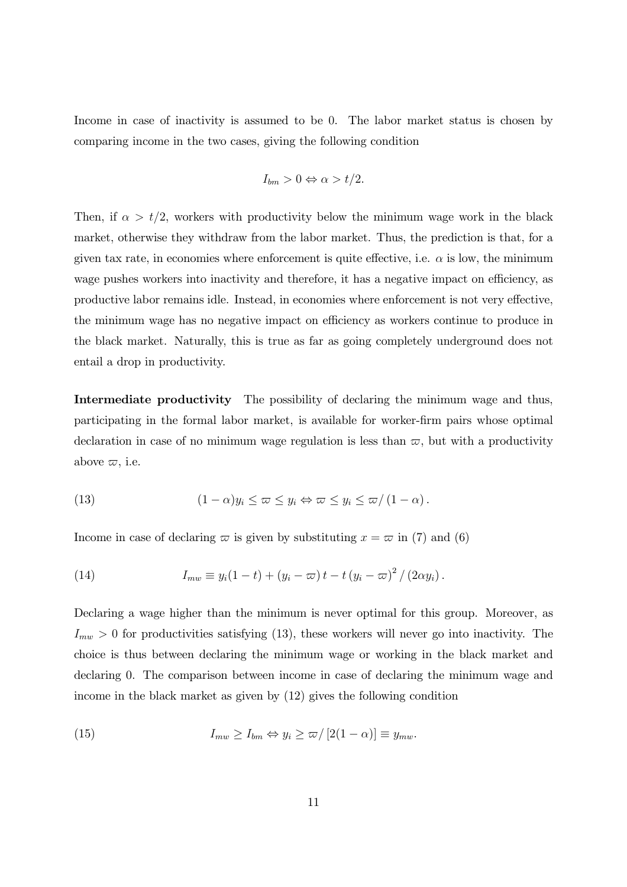Income in case of inactivity is assumed to be 0. The labor market status is chosen by comparing income in the two cases, giving the following condition

$$
I_{bm} > 0 \Leftrightarrow \alpha > t/2
$$

Then, if  $\alpha > t/2$ , workers with productivity below the minimum wage work in the black market, otherwise they withdraw from the labor market. Thus, the prediction is that, for a given tax rate, in economies where enforcement is quite effective, i.e.  $\alpha$  is low, the minimum wage pushes workers into inactivity and therefore, it has a negative impact on efficiency, as productive labor remains idle. Instead, in economies where enforcement is not very effective, the minimum wage has no negative impact on efficiency as workers continue to produce in the black market. Naturally, this is true as far as going completely underground does not entail a drop in productivity.

**Intermediate productivity** The possibility of declaring the minimum wage and thus, participating in the formal labor market, is available for worker-firm pairs whose optimal declaration in case of no minimum wage regulation is less than  $\varpi$ , but with a productivity above  $\varpi$ , i.e.

(13) 
$$
(1 - \alpha)y_i \leq \omega \leq y_i \Leftrightarrow \omega \leq y_i \leq \omega/(1 - \alpha).
$$

Income in case of declaring  $\varpi$  is given by substituting  $x = \varpi$  in (7) and (6)

(14) 
$$
I_{mw} \equiv y_i(1-t) + (y_i - \varpi)t - t (y_i - \varpi)^2/(2\alpha y_i).
$$

Declaring a wage higher than the minimum is never optimal for this group. Moreover, as  $I_{mw} > 0$  for productivities satisfying (13), these workers will never go into inactivity. The choice is thus between declaring the minimum wage or working in the black market and declaring 0. The comparison between income in case of declaring the minimum wage and income in the black market as given by  $(12)$  gives the following condition

(15) 
$$
I_{mw} \ge I_{bm} \Leftrightarrow y_i \ge \varpi / [2(1-\alpha)] \equiv y_{mw}.
$$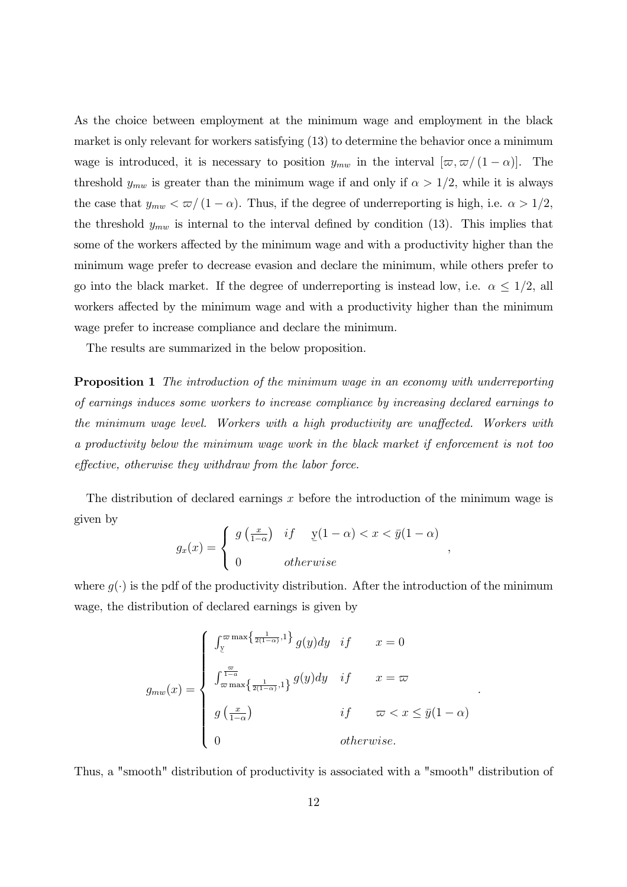As the choice between employment at the minimum wage and employment in the black market is only relevant for workers satisfying (13) to determine the behavior once a minimum wage is introduced, it is necessary to position  $y_{mw}$  in the interval  $[\varpi, \varpi/(1-\alpha)]$ . The threshold  $y_{mw}$  is greater than the minimum wage if and only if  $\alpha > 1/2$ , while it is always the case that  $y_{mw} < \pi/(1-\alpha)$ . Thus, if the degree of underreporting is high, i.e.  $\alpha > 1/2$ , the threshold  $y_{mw}$  is internal to the interval defined by condition (13). This implies that some of the workers affected by the minimum wage and with a productivity higher than the minimum wage prefer to decrease evasion and declare the minimum, while others prefer to go into the black market. If the degree of underreporting is instead low, i.e.  $\alpha \leq 1/2$ , all workers affected by the minimum wage and with a productivity higher than the minimum wage prefer to increase compliance and declare the minimum.

The results are summarized in the below proposition.

**Proposition 1** The introduction of the minimum wage in an economy with underreporting of earnings induces some workers to increase compliance by increasing declared earnings to the minimum wage level. Workers with a high productivity are unaffected. Workers with a productivity below the minimum wage work in the black market if enforcement is not too effective, otherwise they withdraw from the labor force.

The distribution of declared earnings  $x$  before the introduction of the minimum wage is given by

$$
g_x(x) = \begin{cases} g\left(\frac{x}{1-\alpha}\right) & \text{if } y(1-\alpha) < x < \bar{y}(1-\alpha) \\ 0 & \text{otherwise} \end{cases}
$$

 $\overline{\phantom{a}}$ 

where  $q(\cdot)$  is the pdf of the productivity distribution. After the introduction of the minimum wage, the distribution of declared earnings is given by

$$
g_{mw}(x) = \begin{cases} \int_{\mathcal{Y}}^{\infty} \max\left\{\frac{1}{2(1-\alpha)}, 1\right\} g(y) dy & \text{if } x = 0\\ \int_{\infty}^{\frac{\varpi}{1-\alpha}} \int_{\infty}^{\frac{1}{1-\alpha}} \max\left\{\frac{1}{2(1-\alpha)}, 1\right\} g(y) dy & \text{if } x = \varpi\\ g\left(\frac{x}{1-\alpha}\right) & \text{if } \varpi < x \leq \bar{y}(1-\alpha)\\ 0 & \text{otherwise.} \end{cases}
$$

Thus, a "smooth" distribution of productivity is associated with a "smooth" distribution of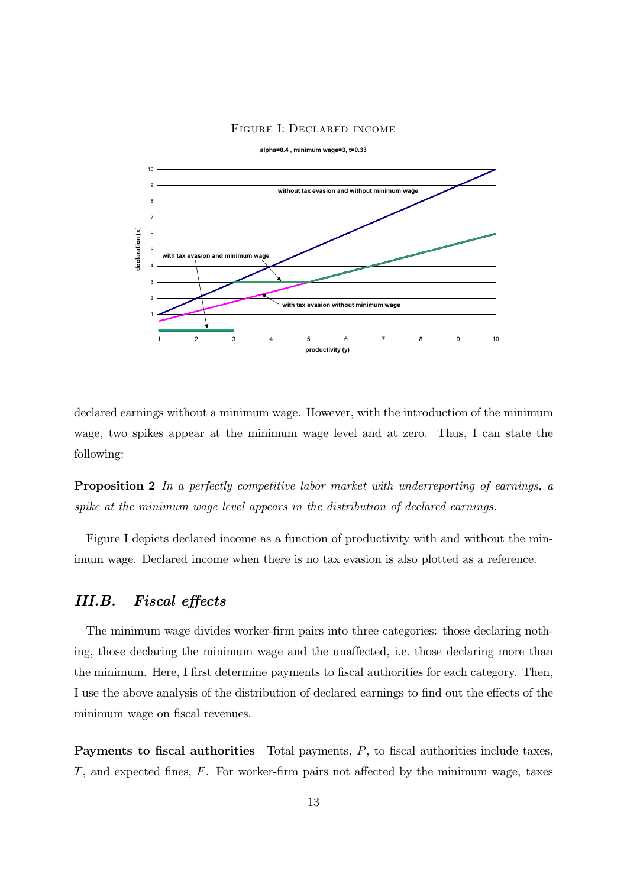### FIGURE I: DECLARED INCOME



declared earnings without a minimum wage. However, with the introduction of the minimum wage, two spikes appear at the minimum wage level and at zero. Thus, I can state the following:

**Proposition 2** In a perfectly competitive labor market with underreporting of earnings, a spike at the minimum wage level appears in the distribution of declared earnings.

Figure I depicts declared income as a function of productivity with and without the minimum wage. Declared income when there is no tax evasion is also plotted as a reference.

### III.B. **Fiscal effects**

The minimum wage divides worker-firm pairs into three categories: those declaring nothing, those declaring the minimum wage and the unaffected, i.e. those declaring more than the minimum. Here, I first determine payments to fiscal authorities for each category. Then, I use the above analysis of the distribution of declared earnings to find out the effects of the minimum wage on fiscal revenues.

**Payments to fiscal authorities** Total payments,  $P$ , to fiscal authorities include taxes,  $T$ , and expected fines,  $F$ . For worker-firm pairs not affected by the minimum wage, taxes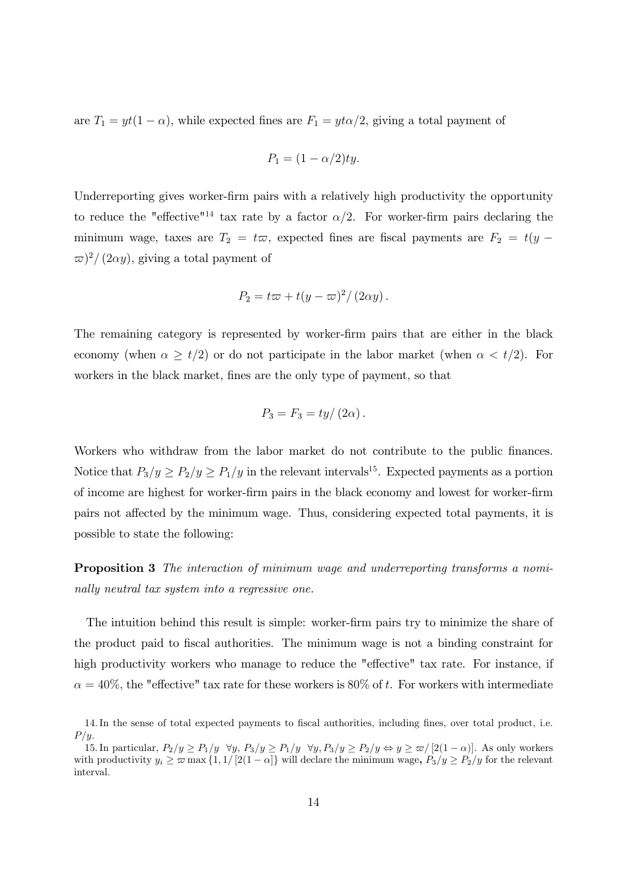are  $T_1 = yt(1 - \alpha)$ , while expected fines are  $F_1 = yt\alpha/2$ , giving a total payment of

$$
P_1 = (1 - \alpha/2)ty.
$$

Underreporting gives worker-firm pairs with a relatively high productivity the opportunity to reduce the "effective"<sup>14</sup> tax rate by a factor  $\alpha/2$ . For worker-firm pairs declaring the minimum wage, taxes are  $T_2 = t\varpi$ , expected fines are fiscal payments are  $F_2 = t(y \varpi$ <sup>2</sup>/(2 $\alpha$ y), giving a total payment of

$$
P_2 = t\varpi + t(y - \varpi)^2 / (2\alpha y).
$$

The remaining category is represented by worker-firm pairs that are either in the black economy (when  $\alpha \geq t/2$ ) or do not participate in the labor market (when  $\alpha < t/2$ ). For workers in the black market, fines are the only type of payment, so that

$$
P_3 = F_3 = ty/(2\alpha)
$$

Workers who withdraw from the labor market do not contribute to the public finances. Notice that  $P_3/y \ge P_2/y \ge P_1/y$  in the relevant intervals<sup>15</sup>. Expected payments as a portion of income are highest for worker-firm pairs in the black economy and lowest for worker-firm pairs not affected by the minimum wage. Thus, considering expected total payments, it is possible to state the following:

**Proposition 3** The interaction of minimum wage and underreporting transforms a nominally neutral tax system into a regressive one.

The intuition behind this result is simple: worker-firm pairs try to minimize the share of the product paid to fiscal authorities. The minimum wage is not a binding constraint for high productivity workers who manage to reduce the "effective" tax rate. For instance, if  $\alpha = 40\%$ , the "effective" tax rate for these workers is 80% of t. For workers with intermediate

<sup>14.</sup> In the sense of total expected payments to fiscal authorities, including fines, over total product, i.e.  $P/y$ .

<sup>15.</sup> In particular,  $P_2/y \ge P_1/y \quad \forall y, P_3/y \ge P_1/y \quad \forall y, P_3/y \ge P_2/y \Leftrightarrow y \ge \varpi/[2(1-\alpha)]$ . As only workers with productivity  $y_i \ge \varpi \max\{1, 1/[2(1-\alpha)]\}$  will declare the minimum wage,  $P_3/y \ge P_2/y$  for the relevant interval.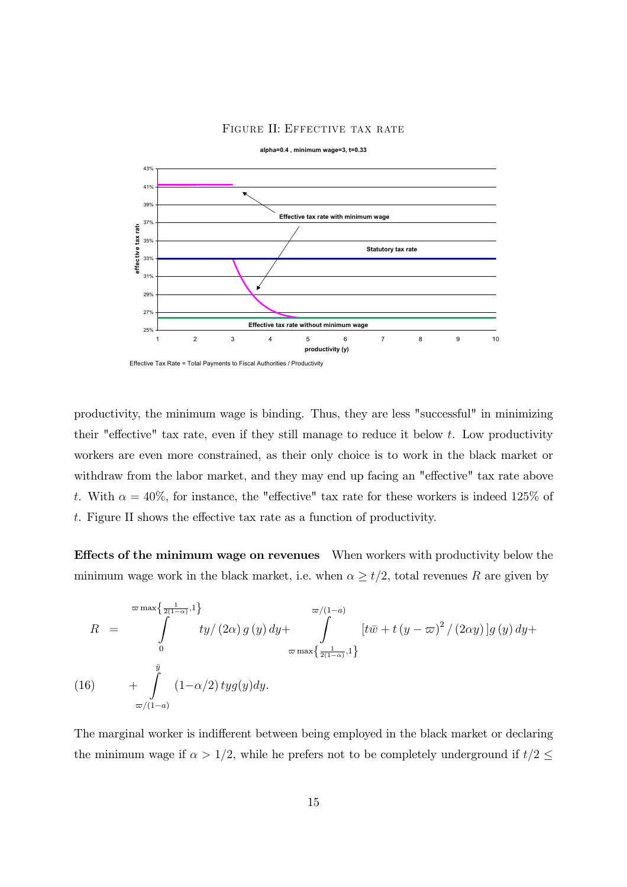### FIGURE II: EFFECTIVE TAX RATE



productivity, the minimum wage is binding. Thus, they are less "successful" in minimizing their "effective" tax rate, even if they still manage to reduce it below  $t$ . Low productivity workers are even more constrained, as their only choice is to work in the black market or withdraw from the labor market, and they may end up facing an "effective" tax rate above t. With  $\alpha = 40\%$ , for instance, the "effective" tax rate for these workers is indeed 125% of t. Figure II shows the effective tax rate as a function of productivity.

Effects of the minimum wage on revenues When workers with productivity below the minimum wage work in the black market, i.e. when  $\alpha \geq t/2$ , total revenues R are given by

$$
R = \int_{0}^{\frac{\pi}{2(1-\alpha)},1} \int_{0}^{\frac{1}{2(1-\alpha)},1} \frac{dy}{(2\alpha) g(y) dy} + \int_{\frac{\pi}{2(1-\alpha)},1}^{\frac{\pi}{2}(1-\alpha)} [t\bar{w} + t(y-\bar{w})^{2}/(2\alpha y)]g(y) dy +
$$
  
(16) 
$$
+ \int_{\frac{\bar{y}}{\pi/(1-a)}}^{1} (1-\alpha/2) tyg(y) dy.
$$

The marginal worker is indifferent between being employed in the black market or declaring the minimum wage if  $\alpha > 1/2$ , while he prefers not to be completely underground if  $t/2 \leq$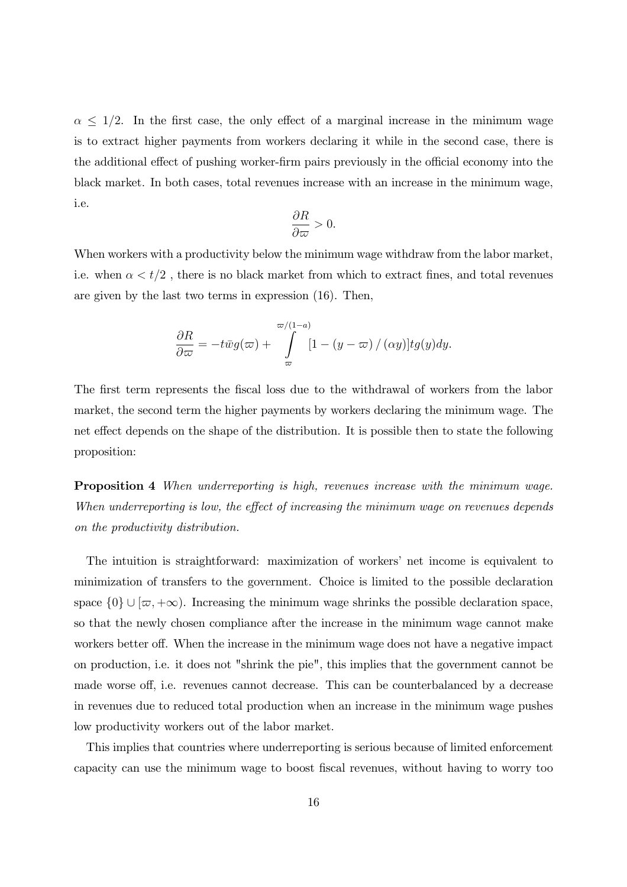$\alpha$  < 1/2. In the first case, the only effect of a marginal increase in the minimum wage is to extract higher payments from workers declaring it while in the second case, there is the additional effect of pushing worker-firm pairs previously in the official economy into the black market. In both cases, total revenues increase with an increase in the minimum wage, i.e.

$$
\frac{\partial R}{\partial \varpi} > 0.
$$

When workers with a productivity below the minimum wage withdraw from the labor market, i.e. when  $\alpha < t/2$ , there is no black market from which to extract fines, and total revenues are given by the last two terms in expression  $(16)$ . Then,

$$
\frac{\partial R}{\partial \varpi} = -t\bar{w}g(\varpi) + \int\limits_{\varpi}^{\varpi/(1-a)} [1-(y-\varpi)/(\alpha y)]tg(y)dy.
$$

The first term represents the fiscal loss due to the withdrawal of workers from the labor market, the second term the higher payments by workers declaring the minimum wage. The net effect depends on the shape of the distribution. It is possible then to state the following proposition:

Proposition 4 When underreporting is high, revenues increase with the minimum wage. When underreporting is low, the effect of increasing the minimum wage on revenues depends on the productivity distribution.

The intuition is straightforward: maximization of workers' net income is equivalent to minimization of transfers to the government. Choice is limited to the possible declaration space  $\{0\} \cup [\varpi, +\infty)$ . Increasing the minimum wage shrinks the possible declaration space, so that the newly chosen compliance after the increase in the minimum wage cannot make workers better off. When the increase in the minimum wage does not have a negative impact on production, i.e. it does not "shrink the pie", this implies that the government cannot be made worse off, i.e. revenues cannot decrease. This can be counterbalanced by a decrease in revenues due to reduced total production when an increase in the minimum wage pushes low productivity workers out of the labor market.

This implies that countries where underreporting is serious because of limited enforcement capacity can use the minimum wage to boost fiscal revenues, without having to worry too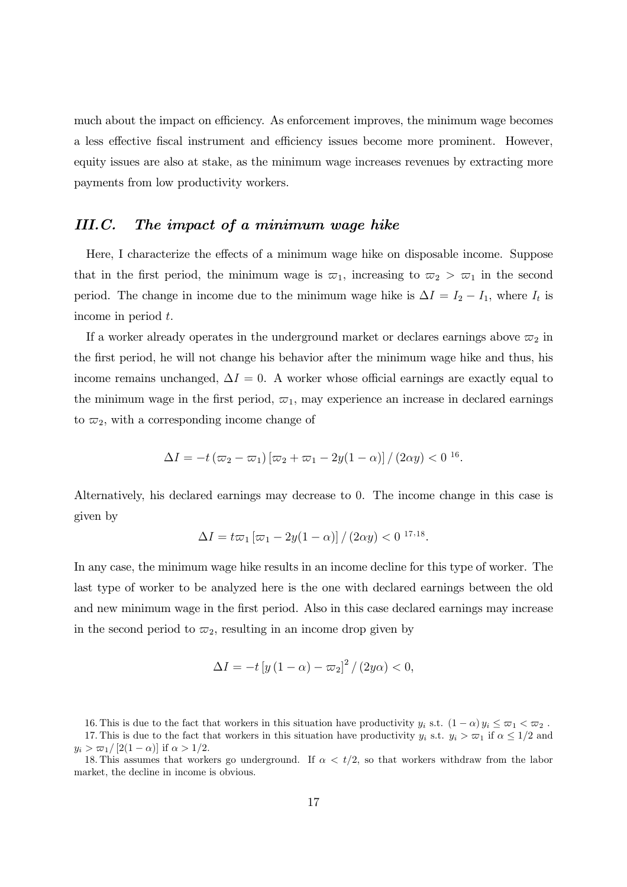much about the impact on efficiency. As enforcement improves, the minimum wage becomes a less effective fiscal instrument and efficiency issues become more prominent. However, equity issues are also at stake, as the minimum wage increases revenues by extracting more payments from low productivity workers.

### $III.C.$ The impact of a minimum wage hike

Here, I characterize the effects of a minimum wage hike on disposable income. Suppose that in the first period, the minimum wage is  $\overline{\omega}_1$ , increasing to  $\overline{\omega}_2 > \overline{\omega}_1$  in the second period. The change in income due to the minimum wage hike is  $\Delta I = I_2 - I_1$ , where  $I_t$  is income in period  $t$ .

If a worker already operates in the underground market or declares earnings above  $\varpi_2$  in the first period, he will not change his behavior after the minimum wage hike and thus, his income remains unchanged,  $\Delta I = 0$ . A worker whose official earnings are exactly equal to the minimum wage in the first period,  $\varpi_1$ , may experience an increase in declared earnings to  $\varpi_2$ , with a corresponding income change of

$$
\Delta I = -t \left( \varpi_2 - \varpi_1 \right) \left[ \varpi_2 + \varpi_1 - 2y(1 - \alpha) \right] / (2\alpha y) < 0^{16}.
$$

Alternatively, his declared earnings may decrease to 0. The income change in this case is given by

$$
\Delta I = t\varpi_1 \left[ \varpi_1 - 2y(1-\alpha) \right] / (2\alpha y) < 0^{17,18}.
$$

In any case, the minimum wage hike results in an income decline for this type of worker. The last type of worker to be analyzed here is the one with declared earnings between the old and new minimum wage in the first period. Also in this case declared earnings may increase in the second period to  $\varpi_2$ , resulting in an income drop given by

$$
\Delta I = -t \left[ y \left( 1 - \alpha \right) - \varpi_2 \right]^2 / \left( 2y \alpha \right) < 0,
$$

16. This is due to the fact that workers in this situation have productivity  $y_i$  s.t.  $(1 - \alpha)y_i \leq \varpi_1 < \varpi_2$ . 17. This is due to the fact that workers in this situation have productivity  $y_i$  s.t.  $y_i > \varpi_1$  if  $\alpha \leq 1/2$  and  $y_i > \frac{\varpi_1}{2(1-\alpha)}$  if  $\alpha > 1/2$ .

<sup>18.</sup> This assumes that workers go underground. If  $\alpha < t/2$ , so that workers withdraw from the labor market, the decline in income is obvious.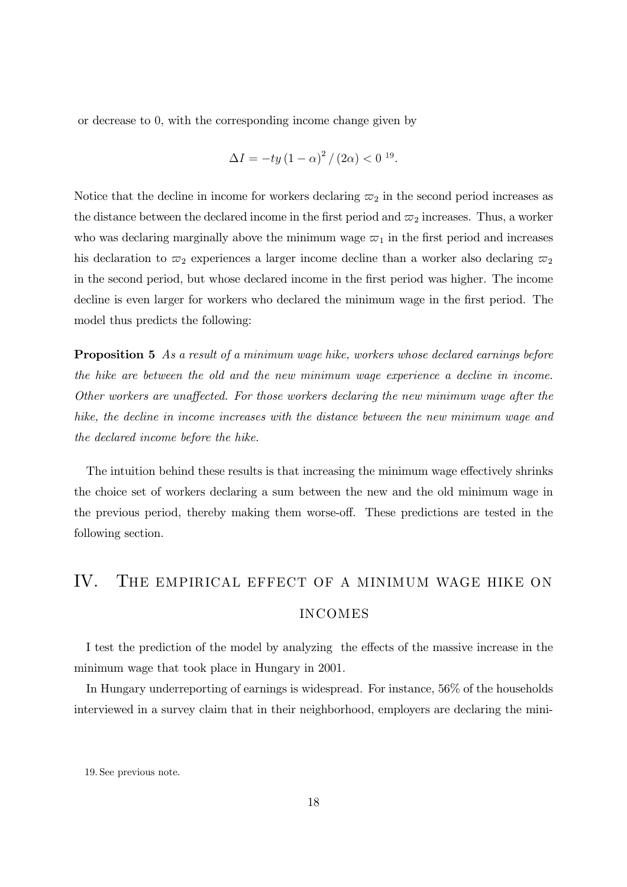or decrease to 0, with the corresponding income change given by

$$
\Delta I = -ty(1-\alpha)^{2}/(2\alpha) < 0^{19}.
$$

Notice that the decline in income for workers declaring  $\varpi_2$  in the second period increases as the distance between the declared income in the first period and  $\varpi_2$  increases. Thus, a worker who was declaring marginally above the minimum wage  $\varpi_1$  in the first period and increases his declaration to  $\varpi_2$  experiences a larger income decline than a worker also declaring  $\varpi_2$ in the second period, but whose declared income in the first period was higher. The income decline is even larger for workers who declared the minimum wage in the first period. The model thus predicts the following:

**Proposition 5** As a result of a minimum wage hike, workers whose declared earnings before the hike are between the old and the new minimum wage experience a decline in income. Other workers are unaffected. For those workers declaring the new minimum wage after the hike, the decline in income increases with the distance between the new minimum wage and the declared income before the hike.

The intuition behind these results is that increasing the minimum wage effectively shrinks the choice set of workers declaring a sum between the new and the old minimum wage in the previous period, thereby making them worse-off. These predictions are tested in the following section.

# IV. THE EMPIRICAL EFFECT OF A MINIMUM WAGE HIKE ON **INCOMES**

I test the prediction of the model by analyzing the effects of the massive increase in the minimum wage that took place in Hungary in 2001.

In Hungary underreporting of earnings is widespread. For instance, 56% of the households interviewed in a survey claim that in their neighborhood, employers are declaring the mini-

<sup>19.</sup> See previous note.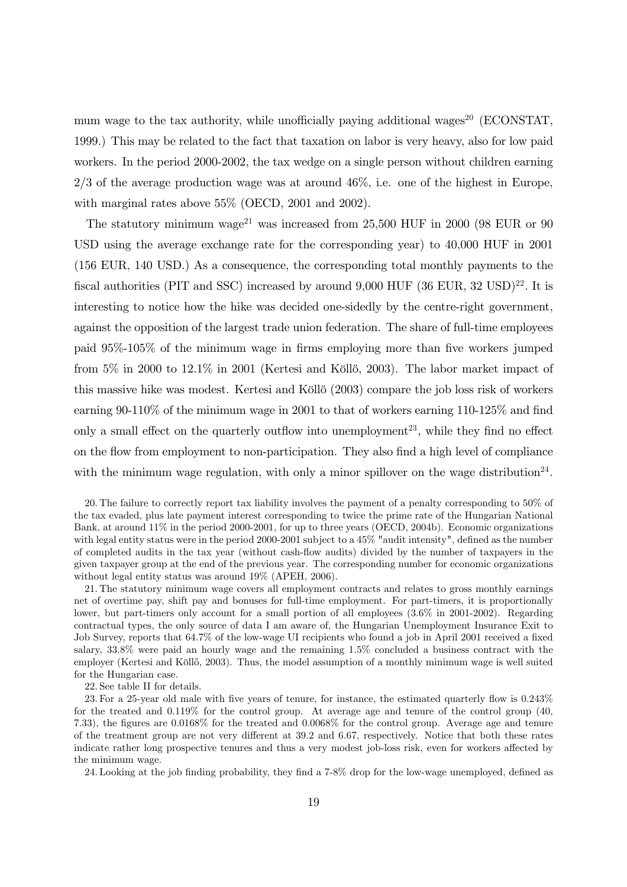mum wage to the tax authority, while unofficially paying additional wages<sup>20</sup> (ECONSTAT. 1999.) This may be related to the fact that taxation on labor is very heavy, also for low paid workers. In the period 2000-2002, the tax wedge on a single person without children earning  $2/3$  of the average production wage was at around 46%, i.e. one of the highest in Europe, with marginal rates above 55% (OECD, 2001 and 2002).

The statutory minimum wage<sup>21</sup> was increased from 25,500 HUF in 2000 (98 EUR or 90) USD using the average exchange rate for the corresponding year) to  $40,000$  HUF in 2001 (156 EUR, 140 USD.) As a consequence, the corresponding total monthly payments to the fiscal authorities (PIT and SSC) increased by around  $9,000$  HUF  $(36 \text{ EUR}, 32 \text{ USD})^{22}$ . It is interesting to notice how the hike was decided one-sidedly by the centre-right government, against the opposition of the largest trade union federation. The share of full-time employees paid 95%-105% of the minimum wage in firms employing more than five workers jumped from 5% in 2000 to 12.1% in 2001 (Kertesi and Köllő, 2003). The labor market impact of this massive hike was modest. Kertesi and Köllő (2003) compare the job loss risk of workers earning  $90-110\%$  of the minimum wage in 2001 to that of workers earning 110-125% and find only a small effect on the quarterly outflow into unemployment<sup>23</sup>, while they find no effect on the flow from employment to non-participation. They also find a high level of compliance with the minimum wage regulation, with only a minor spillover on the wage distribution<sup>24</sup>.

21. The statutory minimum wage covers all employment contracts and relates to gross monthly earnings net of overtime pay, shift pay and bonuses for full-time employment. For part-timers, it is proportionally lower, but part-timers only account for a small portion of all employees (3.6% in 2001-2002). Regarding contractual types, the only source of data I am aware of, the Hungarian Unemployment Insurance Exit to Job Survey, reports that 64.7% of the low-wage UI recipients who found a job in April 2001 received a fixed salary,  $33.8\%$  were paid an hourly wage and the remaining 1.5% concluded a business contract with the employer (Kertesi and Köllő, 2003). Thus, the model assumption of a monthly minimum wage is well suited for the Hungarian case.

22. See table II for details.

24. Looking at the job finding probability, they find a 7-8% drop for the low-wage unemployed, defined as

<sup>20.</sup> The failure to correctly report tax liability involves the payment of a penalty corresponding to 50% of the tax evaded, plus late payment interest corresponding to twice the prime rate of the Hungarian National Bank, at around 11% in the period 2000-2001, for up to three years (OECD, 2004b). Economic organizations with legal entity status were in the period 2000-2001 subject to a  $45\%$  "audit intensity", defined as the number of completed audits in the tax year (without cash-flow audits) divided by the number of taxpayers in the given taxpayer group at the end of the previous year. The corresponding number for economic organizations without legal entity status was around 19% (APEH, 2006).

<sup>23.</sup> For a 25-year old male with five years of tenure, for instance, the estimated quarterly flow is 0.243% for the treated and  $0.119\%$  for the control group. At average age and tenure of the control group (40, 7.33), the figures are  $0.0168\%$  for the treated and  $0.0068\%$  for the control group. Average age and tenure of the treatment group are not very different at 39.2 and 6.67, respectively. Notice that both these rates indicate rather long prospective tenures and thus a very modest job-loss risk, even for workers affected by the minimum wage.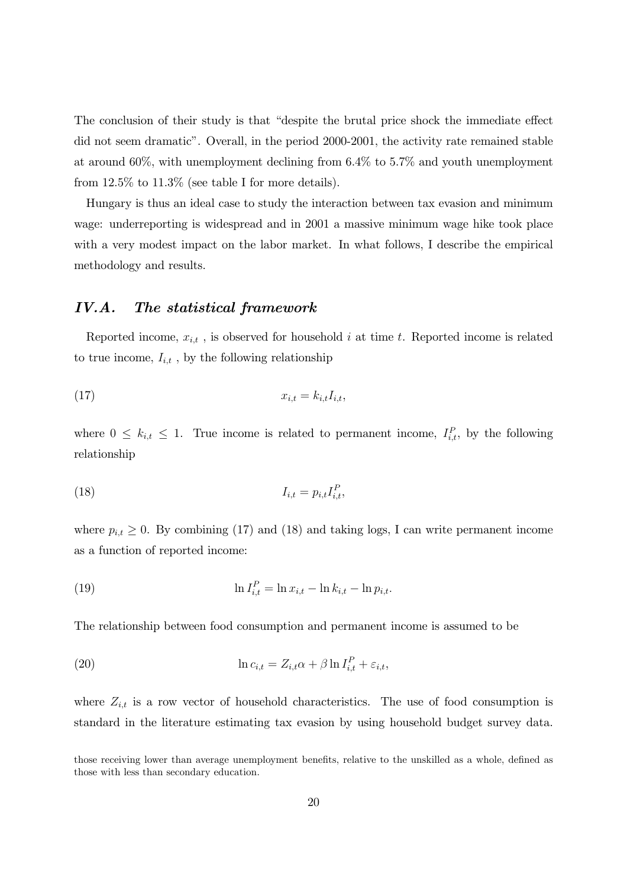The conclusion of their study is that "despite the brutal price shock the immediate effect" did not seem dramatic". Overall, in the period 2000-2001, the activity rate remained stable at around 60%, with unemployment declining from  $6.4\%$  to  $5.7\%$  and youth unemployment from  $12.5\%$  to  $11.3\%$  (see table I for more details).

Hungary is thus an ideal case to study the interaction between tax evasion and minimum wage: underreporting is widespread and in 2001 a massive minimum wage hike took place with a very modest impact on the labor market. In what follows, I describe the empirical methodology and results.

#### $IV.A.$ The statistical framework

Reported income,  $x_{i,t}$ , is observed for household i at time t. Reported income is related to true income,  $I_{i,t}$ , by the following relationship

$$
(17) \t\t x_{i,t} = k_{i,t} I_{i,t},
$$

where  $0 \leq k_{i,t} \leq 1$ . True income is related to permanent income,  $I_{i,t}^P$ , by the following relationship

$$
I_{i,t} = p_{i,t} I_{i,t}^P
$$

where  $p_{i,t} \geq 0$ . By combining (17) and (18) and taking logs, I can write permanent income as a function of reported income:

(19) 
$$
\ln I_{i,t}^P = \ln x_{i,t} - \ln k_{i,t} - \ln p_{i,t}.
$$

The relationship between food consumption and permanent income is assumed to be

(20) 
$$
\ln c_{i,t} = Z_{i,t} \alpha + \beta \ln I_{i,t}^P + \varepsilon_{i,t},
$$

where  $Z_{i,t}$  is a row vector of household characteristics. The use of food consumption is standard in the literature estimating tax evasion by using household budget survey data.

those receiving lower than average unemployment benefits, relative to the unskilled as a whole, defined as those with less than secondary education.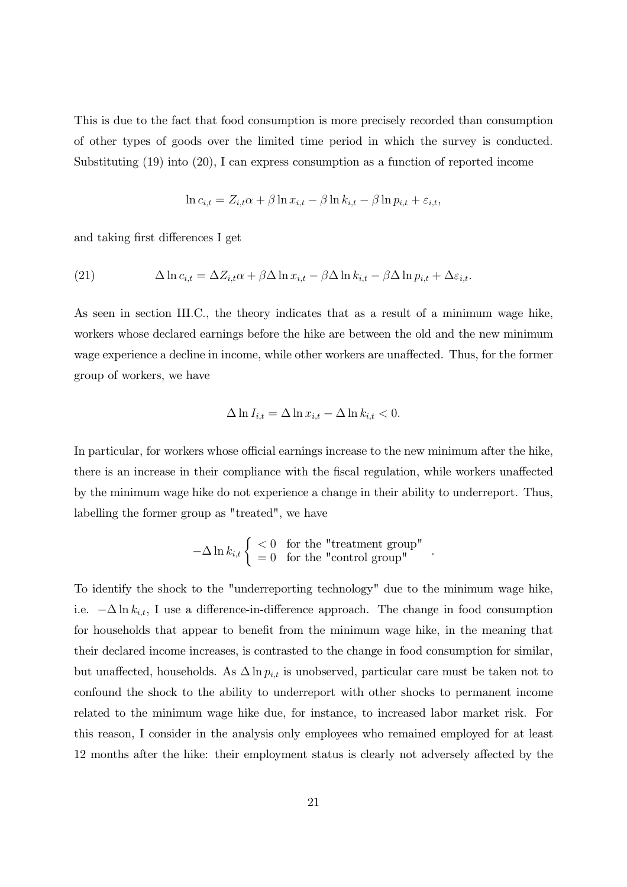This is due to the fact that food consumption is more precisely recorded than consumption of other types of goods over the limited time period in which the survey is conducted. Substituting  $(19)$  into  $(20)$ , I can express consumption as a function of reported income

$$
\ln c_{i,t} = Z_{i,t}\alpha + \beta \ln x_{i,t} - \beta \ln k_{i,t} - \beta \ln p_{i,t} + \varepsilon_{i,t},
$$

and taking first differences I get

(21) 
$$
\Delta \ln c_{i,t} = \Delta Z_{i,t} \alpha + \beta \Delta \ln x_{i,t} - \beta \Delta \ln k_{i,t} - \beta \Delta \ln p_{i,t} + \Delta \varepsilon_{i,t}.
$$

As seen in section III.C., the theory indicates that as a result of a minimum wage hike, workers whose declared earnings before the hike are between the old and the new minimum wage experience a decline in income, while other workers are unaffected. Thus, for the former group of workers, we have

$$
\Delta \ln I_{i,t} = \Delta \ln x_{i,t} - \Delta \ln k_{i,t} < 0.
$$

In particular, for workers whose official earnings increase to the new minimum after the hike, there is an increase in their compliance with the fiscal regulation, while workers unaffected by the minimum wage hike do not experience a change in their ability to underreport. Thus, labelling the former group as "treated", we have

$$
-\Delta \ln k_{i,t} \begin{cases} < 0 \quad \text{for the "treatment group"} \\ = 0 \quad \text{for the "control group"} \end{cases}
$$

To identify the shock to the "underreporting technology" due to the minimum wage hike, i.e.  $-\Delta \ln k_{i,t}$ , I use a difference-in-difference approach. The change in food consumption for households that appear to benefit from the minimum wage hike, in the meaning that their declared income increases, is contrasted to the change in food consumption for similar, but unaffected, households. As  $\Delta \ln p_{i,t}$  is unobserved, particular care must be taken not to confound the shock to the ability to underreport with other shocks to permanent income related to the minimum wage hike due, for instance, to increased labor market risk. For this reason, I consider in the analysis only employees who remained employed for at least 12 months after the hike: their employment status is clearly not adversely affected by the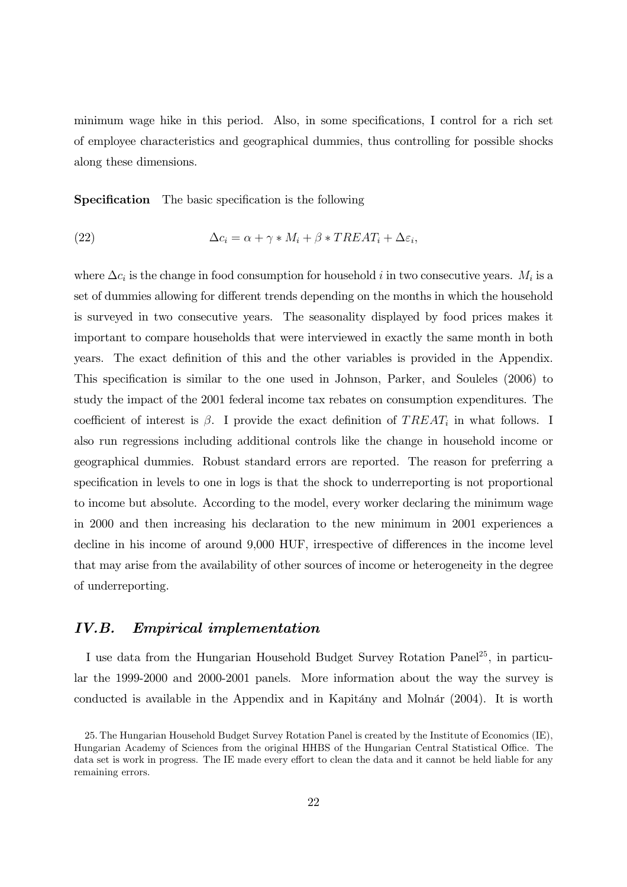minimum wage hike in this period. Also, in some specifications, I control for a rich set of employee characteristics and geographical dummies, thus controlling for possible shocks along these dimensions.

**Specification** The basic specification is the following

(22) 
$$
\Delta c_i = \alpha + \gamma * M_i + \beta * TREAT_i + \Delta \varepsilon_i,
$$

where  $\Delta c_i$  is the change in food consumption for household i in two consecutive years.  $M_i$  is a set of dummies allowing for different trends depending on the months in which the household is surveyed in two consecutive years. The seasonality displayed by food prices makes it important to compare households that were interviewed in exactly the same month in both years. The exact definition of this and the other variables is provided in the Appendix. This specification is similar to the one used in Johnson, Parker, and Souleles (2006) to study the impact of the 2001 federal income tax rebates on consumption expenditures. The coefficient of interest is  $\beta$ . I provide the exact definition of TREAT<sub>i</sub> in what follows. I also run regressions including additional controls like the change in household income or geographical dummies. Robust standard errors are reported. The reason for preferring a specification in levels to one in logs is that the shock to underreporting is not proportional to income but absolute. According to the model, every worker declaring the minimum wage in 2000 and then increasing his declaration to the new minimum in 2001 experiences a decline in his income of around 9,000 HUF, irrespective of differences in the income level that may arise from the availability of other sources of income or heterogeneity in the degree of underreporting.

### IV.B. *Empirical implementation*

I use data from the Hungarian Household Budget Survey Rotation Panel<sup>25</sup>, in particular the 1999-2000 and 2000-2001 panels. More information about the way the survey is conducted is available in the Appendix and in Kapitány and Molnár (2004). It is worth

<sup>25.</sup> The Hungarian Household Budget Survey Rotation Panel is created by the Institute of Economics (IE), Hungarian Academy of Sciences from the original HHBS of the Hungarian Central Statistical Office. The data set is work in progress. The IE made every effort to clean the data and it cannot be held liable for any remaining errors.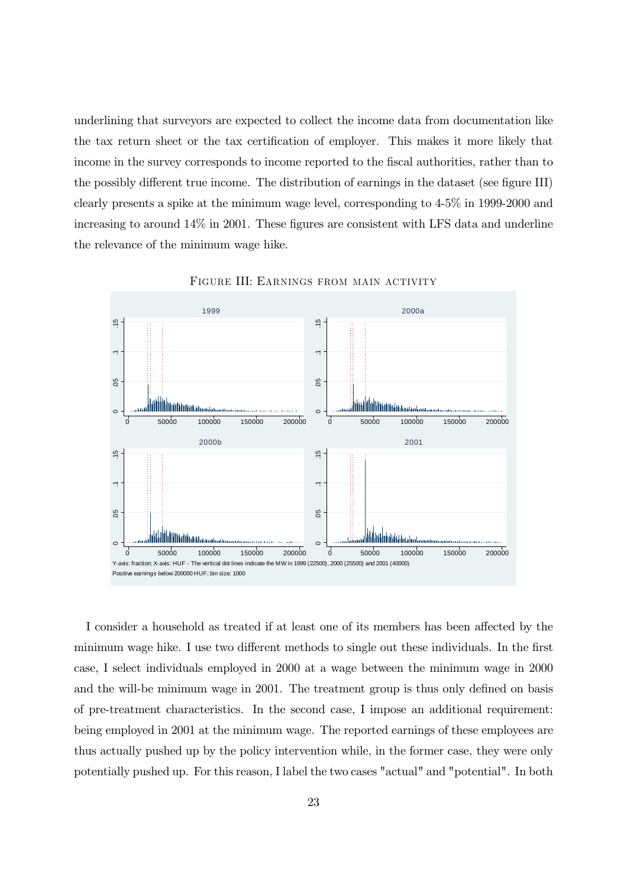underlining that surveyors are expected to collect the income data from documentation like the tax return sheet or the tax certification of employer. This makes it more likely that income in the survey corresponds to income reported to the fiscal authorities, rather than to the possibly different true income. The distribution of earnings in the dataset (see figure III) clearly presents a spike at the minimum wage level, corresponding to  $4-5\%$  in 1999-2000 and increasing to around  $14\%$  in 2001. These figures are consistent with LFS data and underline the relevance of the minimum wage hike.



FIGURE III: EARNINGS FROM MAIN ACTIVITY

I consider a household as treated if at least one of its members has been affected by the minimum wage hike. I use two different methods to single out these individuals. In the first case, I select individuals employed in 2000 at a wage between the minimum wage in 2000 and the will-be minimum wage in 2001. The treatment group is thus only defined on basis of pre-treatment characteristics. In the second case, I impose an additional requirement: being employed in 2001 at the minimum wage. The reported earnings of these employees are thus actually pushed up by the policy intervention while, in the former case, they were only potentially pushed up. For this reason, I label the two cases "actual" and "potential". In both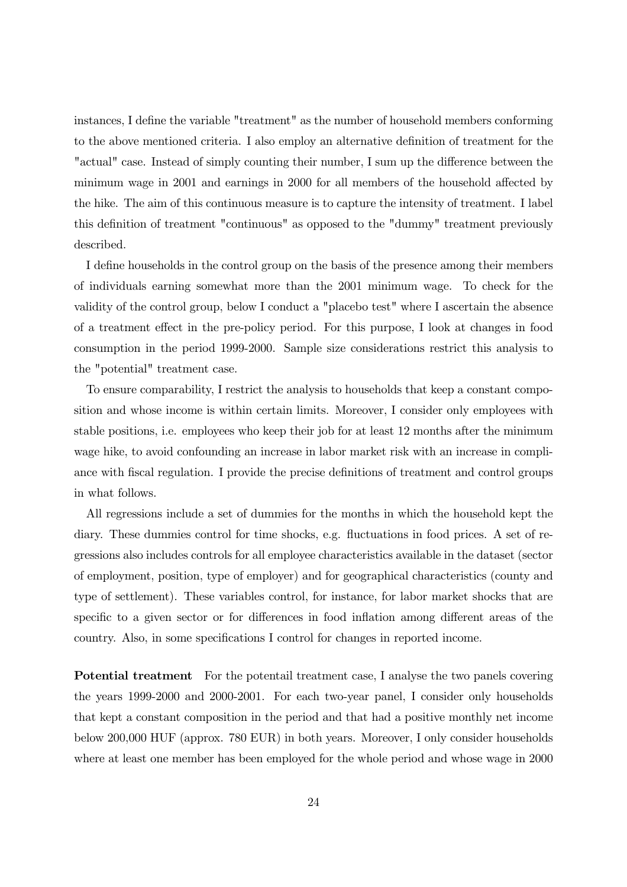instances, I define the variable "treatment" as the number of household members conforming to the above mentioned criteria. I also employ an alternative definition of treatment for the "actual" case. Instead of simply counting their number, I sum up the difference between the minimum wage in 2001 and earnings in 2000 for all members of the household affected by the hike. The aim of this continuous measure is to capture the intensity of treatment. I label this definition of treatment "continuous" as opposed to the "dummy" treatment previously described.

I define households in the control group on the basis of the presence among their members of individuals earning somewhat more than the 2001 minimum wage. To check for the validity of the control group, below I conduct a "placebo test" where I ascertain the absence of a treatment effect in the pre-policy period. For this purpose, I look at changes in food consumption in the period 1999-2000. Sample size considerations restrict this analysis to the "potential" treatment case.

To ensure comparability, I restrict the analysis to households that keep a constant composition and whose income is within certain limits. Moreover, I consider only employees with stable positions, i.e. employees who keep their job for at least 12 months after the minimum wage hike, to avoid confounding an increase in labor market risk with an increase in compliance with fiscal regulation. I provide the precise definitions of treatment and control groups in what follows.

All regressions include a set of dummies for the months in which the household kept the diary. These dummies control for time shocks, e.g. fluctuations in food prices. A set of regressions also includes controls for all employee characteristics available in the dataset (sector of employment, position, type of employer) and for geographical characteristics (county and type of settlement). These variables control, for instance, for labor market shocks that are specific to a given sector or for differences in food inflation among different areas of the country. Also, in some specifications I control for changes in reported income.

**Potential treatment** For the potential treatment case, I analyse the two panels covering the years 1999-2000 and 2000-2001. For each two-year panel, I consider only households that kept a constant composition in the period and that had a positive monthly net income below 200,000 HUF (approx. 780 EUR) in both years. Moreover, I only consider households where at least one member has been employed for the whole period and whose wage in 2000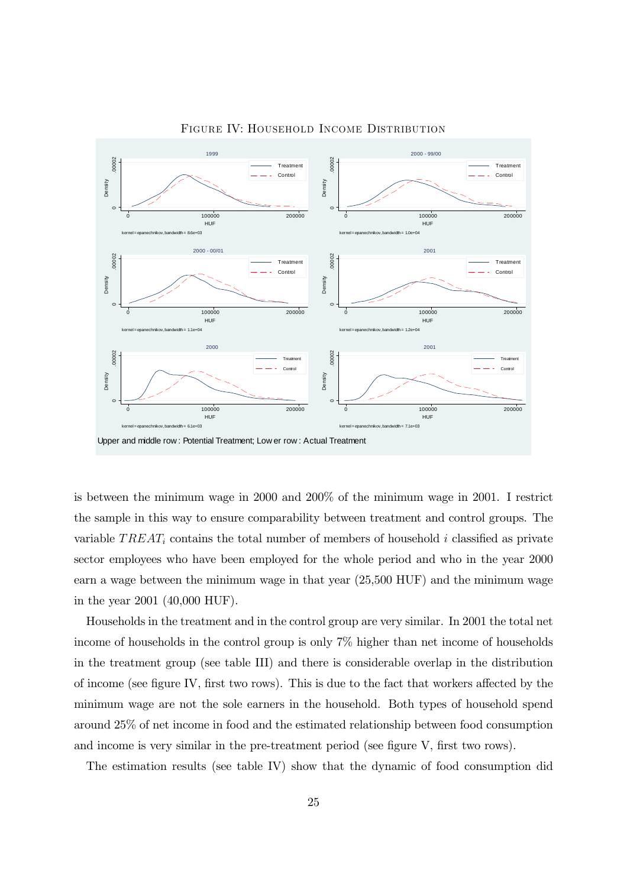

FIGURE IV: HOUSEHOLD INCOME DISTRIBUTION

is between the minimum wage in 2000 and 200% of the minimum wage in 2001. I restrict the sample in this way to ensure comparability between treatment and control groups. The variable  $TREAT_i$  contains the total number of members of household i classified as private sector employees who have been employed for the whole period and who in the year 2000 earn a wage between the minimum wage in that year  $(25,500 \text{ HUF})$  and the minimum wage in the year 2001  $(40,000 \text{ HUF}).$ 

Households in the treatment and in the control group are very similar. In 2001 the total net income of households in the control group is only  $7\%$  higher than net income of households in the treatment group (see table III) and there is considerable overlap in the distribution of income (see figure IV, first two rows). This is due to the fact that workers affected by the minimum wage are not the sole earners in the household. Both types of household spend around 25% of net income in food and the estimated relationship between food consumption and income is very similar in the pre-treatment period (see figure V, first two rows).

The estimation results (see table IV) show that the dynamic of food consumption did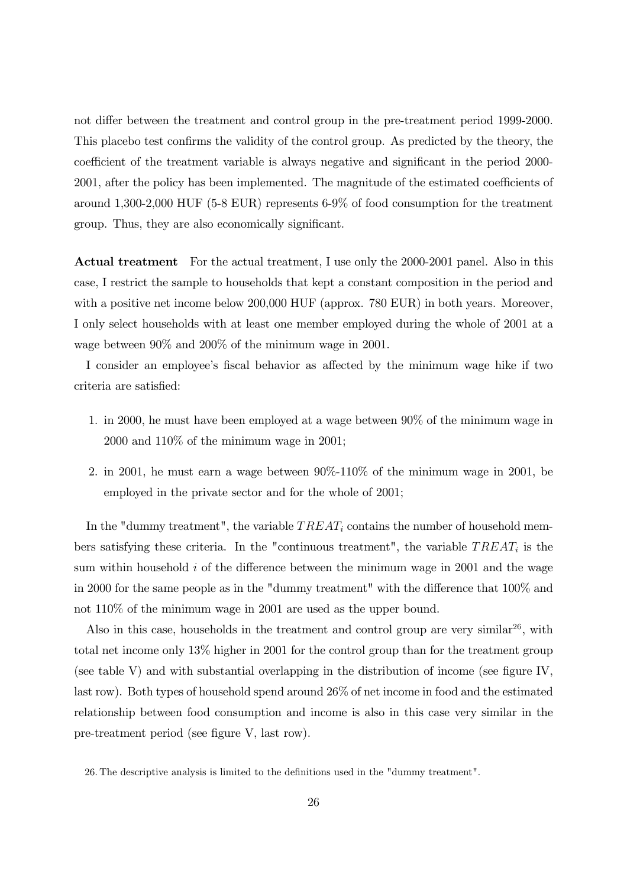not differ between the treatment and control group in the pre-treatment period 1999-2000. This place test confirms the validity of the control group. As predicted by the theory, the coefficient of the treatment variable is always negative and significant in the period 2000-2001, after the policy has been implemented. The magnitude of the estimated coefficients of around  $1,300-2,000$  HUF (5-8 EUR) represents 6-9% of food consumption for the treatment group. Thus, they are also economically significant.

**Actual treatment** For the actual treatment, I use only the 2000-2001 panel. Also in this case, I restrict the sample to households that kept a constant composition in the period and with a positive net income below 200,000 HUF (approx. 780 EUR) in both years. Moreover, I only select households with at least one member employed during the whole of 2001 at a wage between  $90\%$  and  $200\%$  of the minimum wage in 2001.

I consider an employee's fiscal behavior as affected by the minimum wage hike if two criteria are satisfied:

- 1. in 2000, he must have been employed at a wage between 90% of the minimum wage in  $2000$  and  $110\%$  of the minimum wage in  $2001$ ;
- 2. in 2001, he must earn a wage between  $90\%$ -110% of the minimum wage in 2001, be employed in the private sector and for the whole of 2001;

In the "dummy treatment", the variable  $TREAT_i$  contains the number of household members satisfying these criteria. In the "continuous treatment", the variable  $TREAT_i$  is the sum within household  $i$  of the difference between the minimum wage in 2001 and the wage in 2000 for the same people as in the "dummy treatment" with the difference that 100% and not  $110\%$  of the minimum wage in 2001 are used as the upper bound.

Also in this case, households in the treatment and control group are very similar<sup>26</sup>, with total net income only  $13\%$  higher in 2001 for the control group than for the treatment group (see table V) and with substantial overlapping in the distribution of income (see figure IV, last row). Both types of household spend around 26% of net income in food and the estimated relationship between food consumption and income is also in this case very similar in the pre-treatment period (see figure V, last row).

26. The descriptive analysis is limited to the definitions used in the "dummy treatment".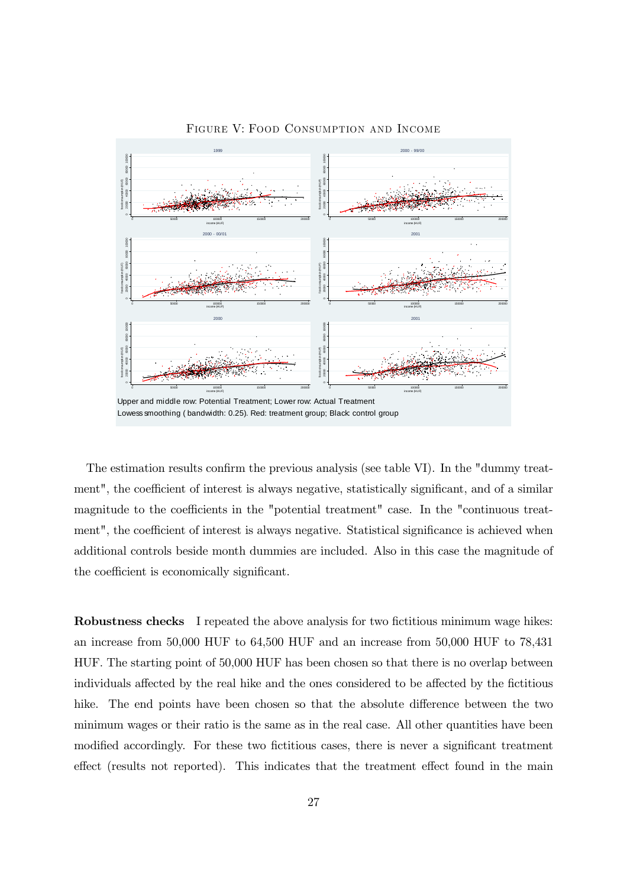

FIGURE V: FOOD CONSUMPTION AND INCOME

The estimation results confirm the previous analysis (see table VI). In the "dummy treatment", the coefficient of interest is always negative, statistically significant, and of a similar magnitude to the coefficients in the "potential treatment" case. In the "continuous treatment", the coefficient of interest is always negative. Statistical significance is achieved when additional controls beside month dummies are included. Also in this case the magnitude of the coefficient is economically significant.

**Robustness checks** I repeated the above analysis for two fictitious minimum wage hikes: an increase from  $50,000$  HUF to  $64,500$  HUF and an increase from  $50,000$  HUF to  $78,431$ HUF. The starting point of 50,000 HUF has been chosen so that there is no overlap between individuals affected by the real hike and the ones considered to be affected by the fictitious hike. The end points have been chosen so that the absolute difference between the two minimum wages or their ratio is the same as in the real case. All other quantities have been modified accordingly. For these two fictitious cases, there is never a significant treatment effect (results not reported). This indicates that the treatment effect found in the main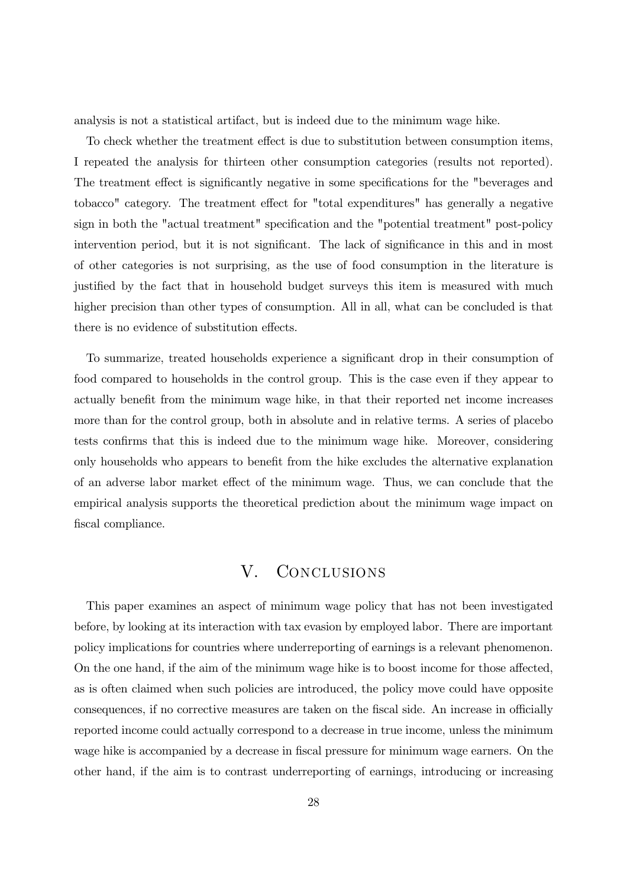analysis is not a statistical artifact, but is indeed due to the minimum wage hike.

To check whether the treatment effect is due to substitution between consumption items, I repeated the analysis for thirteen other consumption categories (results not reported). The treatment effect is significantly negative in some specifications for the "beverages and tobacco" category. The treatment effect for "total expenditures" has generally a negative sign in both the "actual treatment" specification and the "potential treatment" post-policy intervention period, but it is not significant. The lack of significance in this and in most of other categories is not surprising, as the use of food consumption in the literature is justified by the fact that in household budget surveys this item is measured with much higher precision than other types of consumption. All in all, what can be concluded is that there is no evidence of substitution effects.

To summarize, treated households experience a significant drop in their consumption of food compared to households in the control group. This is the case even if they appear to actually benefit from the minimum wage hike, in that their reported net income increases more than for the control group, both in absolute and in relative terms. A series of placebo tests confirms that this is indeed due to the minimum wage hike. Moreover, considering only households who appears to benefit from the hike excludes the alternative explanation of an adverse labor market effect of the minimum wage. Thus, we can conclude that the empirical analysis supports the theoretical prediction about the minimum wage impact on fiscal compliance.

### $V_{\cdot}$ CONCLUSIONS

This paper examines an aspect of minimum wage policy that has not been investigated before, by looking at its interaction with tax evasion by employed labor. There are important policy implications for countries where underreporting of earnings is a relevant phenomenon. On the one hand, if the aim of the minimum wage hike is to boost income for those affected, as is often claimed when such policies are introduced, the policy move could have opposite consequences, if no corrective measures are taken on the fiscal side. An increase in officially reported income could actually correspond to a decrease in true income, unless the minimum wage hike is accompanied by a decrease in fiscal pressure for minimum wage earners. On the other hand, if the aim is to contrast underreporting of earnings, introducing or increasing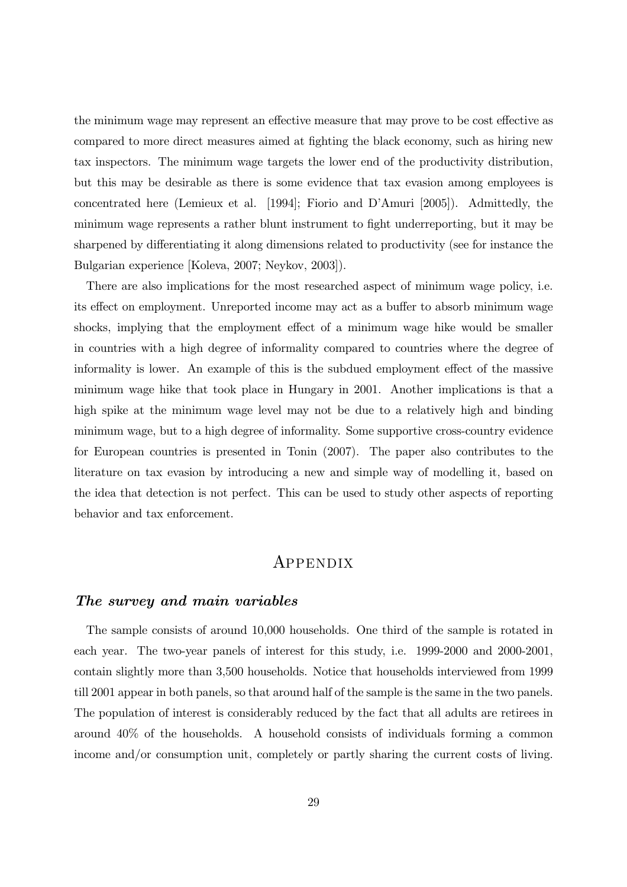the minimum wage may represent an effective measure that may prove to be cost effective as compared to more direct measures aimed at fighting the black economy, such as hiring new tax inspectors. The minimum wage targets the lower end of the productivity distribution, but this may be desirable as there is some evidence that tax evasion among employees is concentrated here (Lemieux et al. [1994]; Fiorio and D'Amuri [2005]). Admittedly, the minimum wage represents a rather blunt instrument to fight underreporting, but it may be sharpened by differentiating it along dimensions related to productivity (see for instance the Bulgarian experience [Koleva, 2007; Neykov, 2003]).

There are also implications for the most researched aspect of minimum wage policy, i.e. its effect on employment. Unreported income may act as a buffer to absorb minimum wage shocks, implying that the employment effect of a minimum wage hike would be smaller in countries with a high degree of informality compared to countries where the degree of informality is lower. An example of this is the subdued employment effect of the massive minimum wage hike that took place in Hungary in 2001. Another implications is that a high spike at the minimum wage level may not be due to a relatively high and binding minimum wage, but to a high degree of informality. Some supportive cross-country evidence for European countries is presented in Tonin (2007). The paper also contributes to the literature on tax evasion by introducing a new and simple way of modelling it, based on the idea that detection is not perfect. This can be used to study other aspects of reporting behavior and tax enforcement.

# APPENDIX

### The survey and main variables

The sample consists of around 10,000 households. One third of the sample is rotated in each year. The two-year panels of interest for this study, i.e. 1999-2000 and 2000-2001, contain slightly more than 3,500 households. Notice that households interviewed from 1999 till 2001 appear in both panels, so that around half of the sample is the same in the two panels. The population of interest is considerably reduced by the fact that all adults are retirees in around 40% of the households. A household consists of individuals forming a common income and/or consumption unit, completely or partly sharing the current costs of living.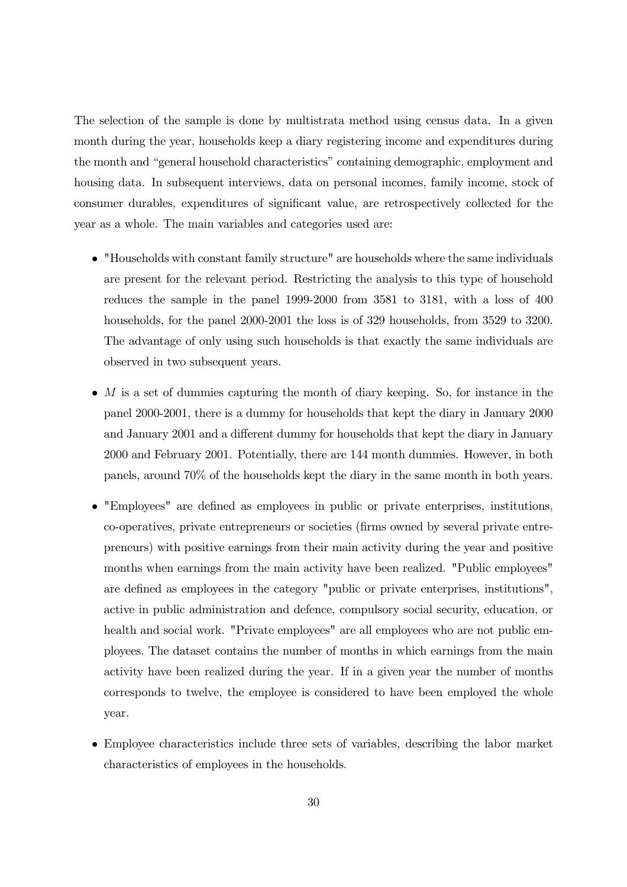The selection of the sample is done by multistrata method using census data. In a given month during the year, households keep a diary registering income and expenditures during the month and "general household characteristics" containing demographic, employment and housing data. In subsequent interviews, data on personal incomes, family income, stock of consumer durables, expenditures of significant value, are retrospectively collected for the year as a whole. The main variables and categories used are:

- "Households with constant family structure" are households where the same individuals are present for the relevant period. Restricting the analysis to this type of household reduces the sample in the panel 1999-2000 from 3581 to 3181, with a loss of 400 households, for the panel 2000-2001 the loss is of 329 households, from 3529 to 3200. The advantage of only using such households is that exactly the same individuals are observed in two subsequent years.
- M is a set of dummies capturing the month of diary keeping. So, for instance in the panel 2000-2001, there is a dummy for households that kept the diary in January 2000 and January 2001 and a different dummy for households that kept the diary in January 2000 and February 2001. Potentially, there are 144 month dummies. However, in both panels, around 70% of the households kept the diary in the same month in both years.
- "Employees" are defined as employees in public or private enterprises, institutions, co-operatives, private entrepreneurs or societies (firms owned by several private entrepreneurs) with positive earnings from their main activity during the year and positive months when earnings from the main activity have been realized. "Public employees" are defined as employees in the category "public or private enterprises, institutions", active in public administration and defence, compulsory social security, education, or health and social work. "Private employees" are all employees who are not public employees. The dataset contains the number of months in which earnings from the main activity have been realized during the year. If in a given year the number of months corresponds to twelve, the employee is considered to have been employed the whole year.
- Employee characteristics include three sets of variables, describing the labor market characteristics of employees in the households.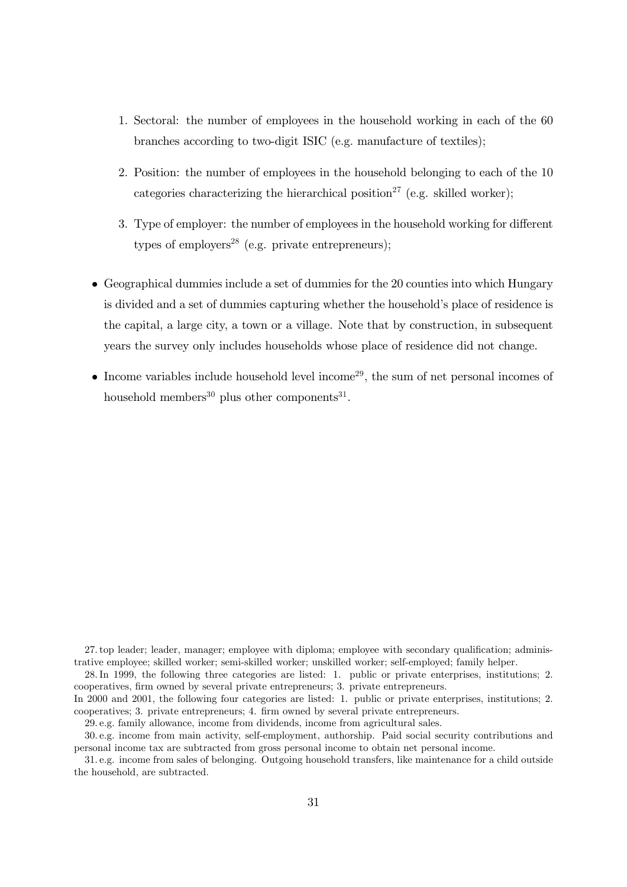- 1. Sectoral: the number of employees in the household working in each of the 60 branches according to two-digit ISIC (e.g. manufacture of textiles);
- 2. Position: the number of employees in the household belonging to each of the 10 categories characterizing the hierarchical position<sup>27</sup> (e.g. skilled worker):
- 3. Type of employer: the number of employees in the household working for different types of employers<sup>28</sup> (e.g. private entrepreneurs);
- $\bullet$  Geographical dummies include a set of dummies for the 20 counties into which Hungary is divided and a set of dummies capturing whether the household's place of residence is the capital, a large city, a town or a village. Note that by construction, in subsequent years the survey only includes households whose place of residence did not change.
- Income variables include household level income<sup>29</sup>, the sum of net personal incomes of household members<sup>30</sup> plus other components<sup>31</sup>.

27. top leader; leader, manager; employee with diploma; employee with secondary qualification; administrative employee; skilled worker; semi-skilled worker; unskilled worker; self-employed; family helper.

28. In 1999, the following three categories are listed: 1. public or private enterprises, institutions; 2. cooperatives, firm owned by several private entrepreneurs; 3. private entrepreneurs.

In 2000 and 2001, the following four categories are listed: 1. public or private enterprises, institutions; 2. cooperatives; 3. private entrepreneurs; 4. firm owned by several private entrepreneurs.

29. e.g. family allowance, income from dividends, income from agricultural sales.

30. e.g. income from main activity, self-employment, authorship. Paid social security contributions and personal income tax are subtracted from gross personal income to obtain net personal income.

31, e.g. income from sales of belonging. Outgoing household transfers, like maintenance for a child outside the household, are subtracted.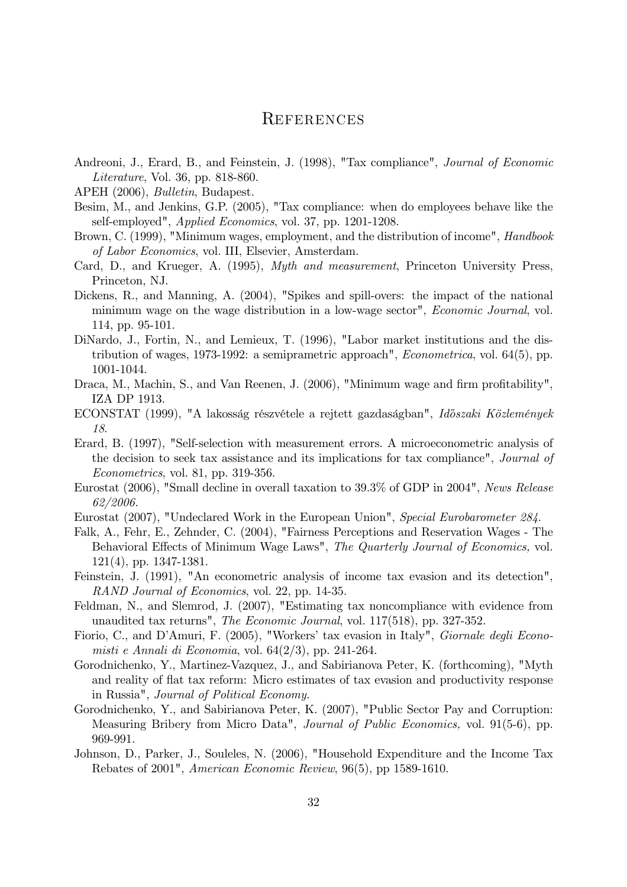# **REFERENCES**

- Andreoni, J., Erard, B., and Feinstein, J. (1998), "Tax compliance", *Journal of Economic* Literature, Vol. 36, pp. 818-860.
- APEH (2006), *Bulletin*, Budapest.
- Besim, M., and Jenkins, G.P. (2005), "Tax compliance: when do employees behave like the self-employed", *Applied Economics*, vol. 37, pp. 1201-1208.
- Brown, C. (1999), "Minimum wages, employment, and the distribution of income", *Handbook of Labor Economics*, vol. III, Elsevier, Amsterdam.
- Card, D., and Krueger, A. (1995), *Myth and measurement*, Princeton University Press, Princeton, NJ.
- Dickens, R., and Manning, A. (2004), "Spikes and spill-overs: the impact of the national minimum wage on the wage distribution in a low-wage sector", *Economic Journal*, vol. 114, pp.  $95-101$ .
- DiNardo, J., Fortin, N., and Lemieux, T. (1996), "Labor market institutions and the distribution of wages, 1973-1992: a semiprametric approach", *Econometrica*, vol.  $64(5)$ , pp. 1001-1044.
- Draca, M., Machin, S., and Van Reenen, J. (2006), "Minimum wage and firm profitability", IZA DP 1913.
- ECONSTAT (1999), "A lakosság részvétele a rejtett gazdaságban", Időszaki Közlemények 18.
- Erard, B. (1997), "Self-selection with measurement errors. A microeconometric analysis of the decision to seek tax assistance and its implications for tax compliance", *Journal of Econometrics*, vol. 81, pp. 319-356.
- Eurostat (2006), "Small decline in overall taxation to 39.3% of GDP in 2004". News Release 62/2006.
- Eurostat (2007), "Undeclared Work in the European Union", Special Eurobarometer 284.
- Falk, A., Fehr, E., Zehnder, C. (2004), "Fairness Perceptions and Reservation Wages The Behavioral Effects of Minimum Wage Laws", The Quarterly Journal of Economics, vol.  $121(4)$ , pp. 1347-1381.
- Feinstein, J. (1991), "An econometric analysis of income tax evasion and its detection", *RAND Journal of Economics*, vol. 22, pp. 14-35.
- Feldman, N., and Slemrod, J. (2007), "Estimating tax noncompliance with evidence from unaudited tax returns", The Economic Journal, vol. 117(518), pp. 327-352.
- Fiorio, C., and D'Amuri, F. (2005), "Workers' tax evasion in Italy", *Giornale degli Econo*misti e Annali di Economia, vol.  $64(2/3)$ , pp. 241-264.
- Gorodnichenko, Y., Martinez-Vazquez, J., and Sabirianova Peter, K. (forthcoming), "Myth and reality of flat tax reform: Micro estimates of tax evasion and productivity response in Russia", Journal of Political Economy.
- Gorodnichenko, Y., and Sabirianova Peter, K. (2007), "Public Sector Pay and Corruption: Measuring Bribery from Micro Data", *Journal of Public Economics*, vol. 91(5-6), pp. 969-991.
- Johnson, D., Parker, J., Souleles, N. (2006), "Household Expenditure and the Income Tax Rebates of 2001", American Economic Review, 96(5), pp 1589-1610.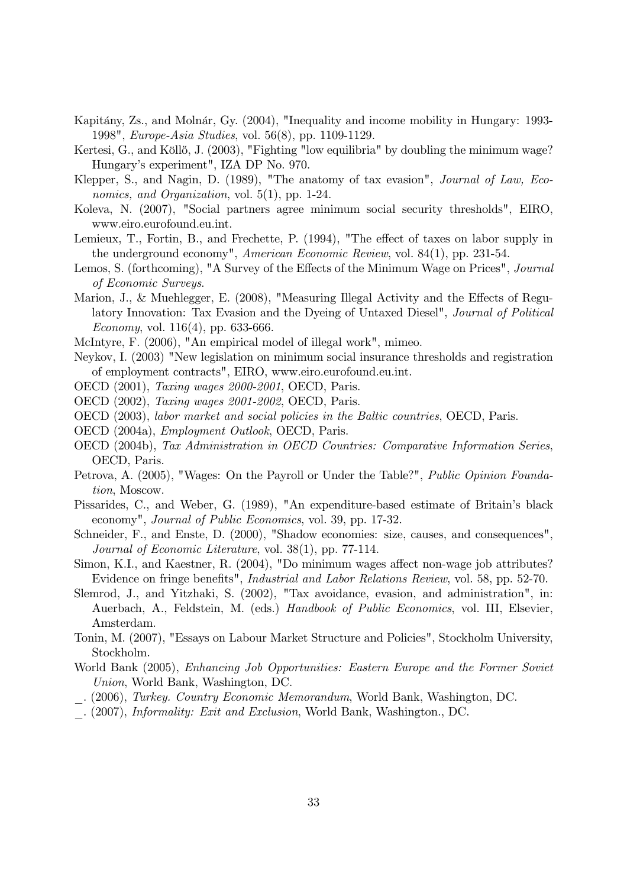- Kapitány, Zs., and Molnár, Gy. (2004), "Inequality and income mobility in Hungary: 1993-1998", *Europe-Asia Studies*, vol. 56(8), pp. 1109-1129.
- Kertesi, G., and Köllő, J. (2003), "Fighting "low equilibria" by doubling the minimum wage? Hungary's experiment", IZA DP No. 970.
- Klepper, S., and Nagin, D. (1989), "The anatomy of tax evasion", Journal of Law, Economics, and Organization, vol.  $5(1)$ , pp. 1-24.
- Koleva, N. (2007), "Social partners agree minimum social security thresholds", EIRO, www.eiro.eurofound.eu.int.
- Lemieux, T., Fortin, B., and Frechette, P. (1994), "The effect of taxes on labor supply in the underground economy", American Economic Review, vol. 84(1), pp. 231-54.
- Lemos, S. (forthcoming), "A Survey of the Effects of the Minimum Wage on Prices", *Journal* of Economic Surveys.
- Marion, J., & Muehlegger, E. (2008), "Measuring Illegal Activity and the Effects of Regulatory Innovation: Tax Evasion and the Dyeing of Untaxed Diesel", Journal of Political *Economy*, vol.  $116(4)$ , pp. 633-666.
- McIntyre, F. (2006), "An empirical model of illegal work", mimeo.
- Neykov, I. (2003) "New legislation on minimum social insurance thresholds and registration of employment contracts", EIRO, www.eiro.eurofound.eu.int.
- OECD (2001), *Taxing wages 2000-2001*, OECD, Paris.
- OECD (2002), *Taxing wages 2001-2002*, OECD, Paris.
- OECD (2003), labor market and social policies in the Baltic countries, OECD, Paris.
- OECD (2004a), *Employment Outlook*, OECD, Paris.
- OECD (2004b), Tax Administration in OECD Countries: Comparative Information Series, OECD, Paris.
- Petrova, A. (2005), "Wages: On the Payroll or Under the Table?", *Public Opinion Founda*tion, Moscow.
- Pissarides, C., and Weber, G. (1989), "An expenditure-based estimate of Britain's black economy", *Journal of Public Economics*, vol. 39, pp. 17-32.
- Schneider, F., and Enste, D. (2000), "Shadow economies: size, causes, and consequences", *Journal of Economic Literature, vol.* 38(1), pp. 77-114.
- Simon, K.I., and Kaestner, R. (2004), "Do minimum wages affect non-wage job attributes? Evidence on fringe benefits", *Industrial and Labor Relations Review*, vol. 58, pp. 52-70.
- Slemrod, J., and Yitzhaki, S. (2002), "Tax avoidance, evasion, and administration", in: Auerbach, A., Feldstein, M. (eds.) Handbook of Public Economics, vol. III, Elsevier, Amsterdam.
- Tonin, M. (2007), "Essays on Labour Market Structure and Policies", Stockholm University, Stockholm.
- World Bank (2005), *Enhancing Job Opportunities: Eastern Europe and the Former Soviet* Union, World Bank, Washington, DC.
- (2006), Turkey. Country Economic Memorandum, World Bank, Washington, DC.
- . (2007), *Informality: Exit and Exclusion*, World Bank, Washington., DC.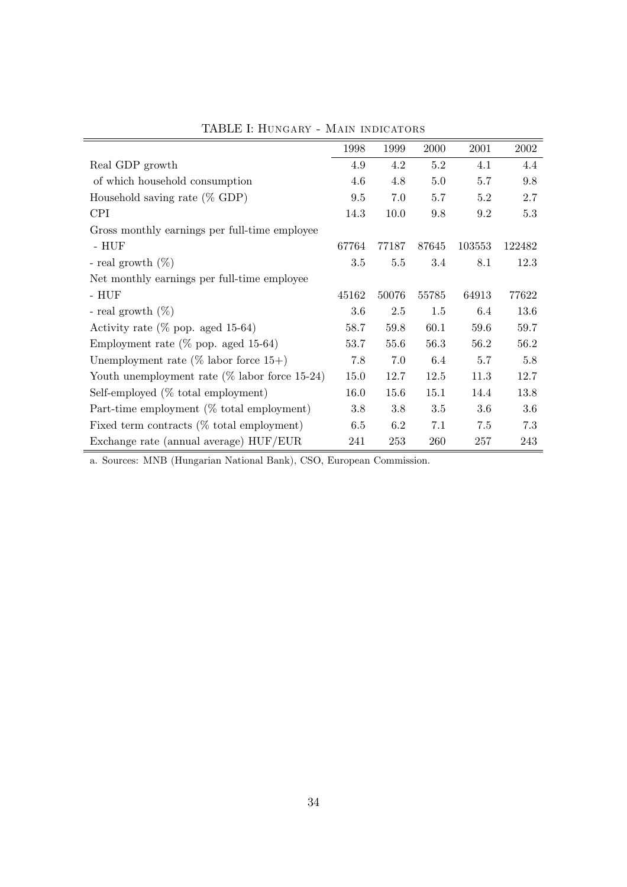|                                                  | 1998  | 1999  | 2000  | 2001    | 2002   |
|--------------------------------------------------|-------|-------|-------|---------|--------|
| Real GDP growth                                  | 4.9   | 4.2   | 5.2   | 4.1     | 4.4    |
| of which household consumption                   | 4.6   | 4.8   | 5.0   | 5.7     | 9.8    |
| Household saving rate $(\%$ GDP)                 | 9.5   | 7.0   | 5.7   | $5.2\,$ | 2.7    |
| <b>CPI</b>                                       | 14.3  | 10.0  | 9.8   | 9.2     | 5.3    |
| Gross monthly earnings per full-time employee    |       |       |       |         |        |
| - $HUF$                                          | 67764 | 77187 | 87645 | 103553  | 122482 |
| - real growth $(\%)$                             | 3.5   | 5.5   | 3.4   | 8.1     | 12.3   |
| Net monthly earnings per full-time employee      |       |       |       |         |        |
| $- HUF$                                          | 45162 | 50076 | 55785 | 64913   | 77622  |
| - real growth $(\%)$                             | 3.6   | 2.5   | 1.5   | 6.4     | 13.6   |
| Activity rate ( $\%$ pop. aged 15-64)            | 58.7  | 59.8  | 60.1  | 59.6    | 59.7   |
| Employment rate ( $\%$ pop. aged 15-64)          | 53.7  | 55.6  | 56.3  | 56.2    | 56.2   |
| Unemployment rate ( $\%$ labor force 15+)        | 7.8   | 7.0   | 6.4   | 5.7     | 5.8    |
| Youth unemployment rate $(\%$ labor force 15-24) | 15.0  | 12.7  | 12.5  | 11.3    | 12.7   |
| Self-employed (% total employment)               | 16.0  | 15.6  | 15.1  | 14.4    | 13.8   |
| Part-time employment (% total employment)        | 3.8   | 3.8   | 3.5   | 3.6     | 3.6    |
| Fixed term contracts $(\%$ total employment)     | 6.5   | 6.2   | 7.1   | 7.5     | 7.3    |
| Exchange rate (annual average) HUF/EUR           | 241   | 253   | 260   | 257     | 243    |

TABLE I: HUNGARY - MAIN INDICATORS

a. Sources: MNB (Hungarian National Bank), CSO, European Commission.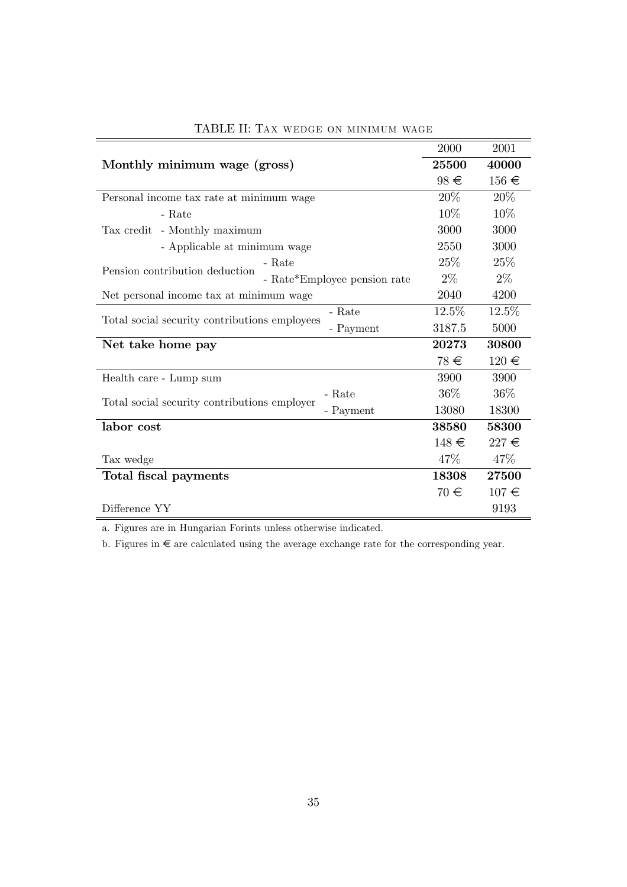|                                                            | 2000      | 2001      |
|------------------------------------------------------------|-----------|-----------|
| Monthly minimum wage (gross)                               | 25500     | 40000     |
|                                                            | $98 \in$  | $156 \in$ |
| Personal income tax rate at minimum wage                   | 20%       | 20%       |
| - Rate                                                     | 10%       | 10%       |
| Tax credit<br>- Monthly maximum                            | 3000      | 3000      |
| - Applicable at minimum wage                               | 2550      | 3000      |
| - Rate<br>Pension contribution deduction                   | 25%       | 25%       |
| - Rate*Employee pension rate                               | $2\%$     | $2\%$     |
| Net personal income tax at minimum wage                    | 2040      | 4200      |
| - Rate                                                     | 12.5%     | 12.5%     |
| Total social security contributions employees<br>- Payment | 3187.5    | 5000      |
| Net take home pay                                          | 20273     | 30800     |
|                                                            | 78 €      | $120 \in$ |
| Health care - Lump sum                                     | 3900      | 3900      |
| - Rate                                                     | $36\%$    | $36\%$    |
| Total social security contributions employer<br>- Payment  | 13080     | 18300     |
| labor cost                                                 | 38580     | 58300     |
|                                                            | $148 \in$ | $227 \in$ |
| Tax wedge                                                  | 47\%      | 47\%      |
| Total fiscal payments                                      | 18308     | 27500     |
|                                                            | $70 \in$  | $107 \in$ |
| Difference YY                                              |           | 9193      |

# TABLE II: TAX WEDGE ON MINIMUM WAGE

 $\,$  a. Figures are in Hungarian Forints unless otherwise indicated.

b. Figures in  $\in$  are calculated using the average exchange rate for the corresponding year.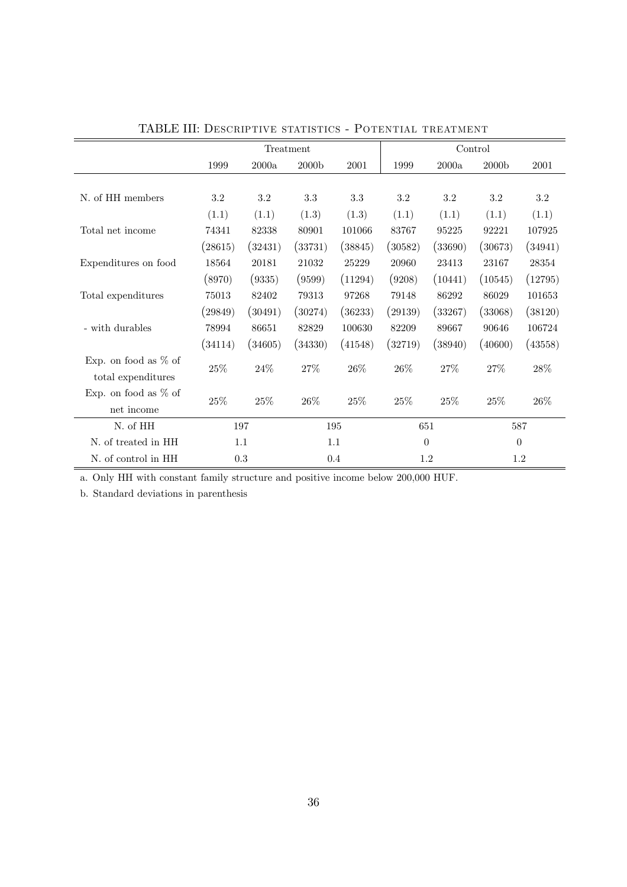|                                               | Treatment |         |                   |         | Control  |         |                   |            |
|-----------------------------------------------|-----------|---------|-------------------|---------|----------|---------|-------------------|------------|
|                                               | 1999      | 2000a   | 2000 <sub>b</sub> | 2001    | 1999     | 2000a   | 2000 <sub>b</sub> | $\,2001\,$ |
|                                               |           |         |                   |         |          |         |                   |            |
| N. of HH members                              | $3.2\,$   | 3.2     | 3.3               | 3.3     | $3.2\,$  | 3.2     | 3.2               | 3.2        |
|                                               | (1.1)     | (1.1)   | (1.3)             | (1.3)   | (1.1)    | (1.1)   | (1.1)             | (1.1)      |
| Total net income                              | 74341     | 82338   | 80901             | 101066  | 83767    | 95225   | 92221             | 107925     |
|                                               | (28615)   | (32431) | (33731)           | (38845) | (30582)  | (33690) | (30673)           | (34941)    |
| Expenditures on food                          | 18564     | 20181   | 21032             | 25229   | 20960    | 23413   | 23167             | 28354      |
|                                               | (8970)    | (9335)  | (9599)            | (11294) | (9208)   | (10441) | (10545)           | (12795)    |
| Total expenditures                            | 75013     | 82402   | 79313             | 97268   | 79148    | 86292   | 86029             | 101653     |
|                                               | (29849)   | (30491) | (30274)           | (36233) | (29139)  | (33267) | (33068)           | (38120)    |
| - with durables                               | 78994     | 86651   | 82829             | 100630  | 82209    | 89667   | 90646             | 106724     |
|                                               | (34114)   | (34605) | (34330)           | (41548) | (32719)  | (38940) | (40600)           | (43558)    |
| Exp. on food as $\%$ of<br>total expenditures | $25\%$    | 24%     | 27%               | 26\%    | $26\%$   | 27%     | 27%               | 28%        |
| Exp. on food as $%$ of                        | $25\%$    | 25%     | 26%               | 25%     | $25\%$   | 25%     | 25%               | $26\%$     |
| $\operatorname{net}$ income                   |           |         |                   |         |          |         |                   |            |
| N. of HH                                      | 197       |         | 195               |         | 651      |         | 587               |            |
| N. of treated in HH                           | 1.1       |         | 1.1               |         | $\theta$ |         | $\theta$          |            |
| N. of control in HH                           | 0.3       |         | 0.4               |         | 1.2      |         | 1.2               |            |

TABLE III: DESCRIPTIVE STATISTICS - POTENTIAL TREATMENT

a. Only HH with constant family structure and positive income below  $200,\!000$  HUF.

b. Standard deviations in parenthesis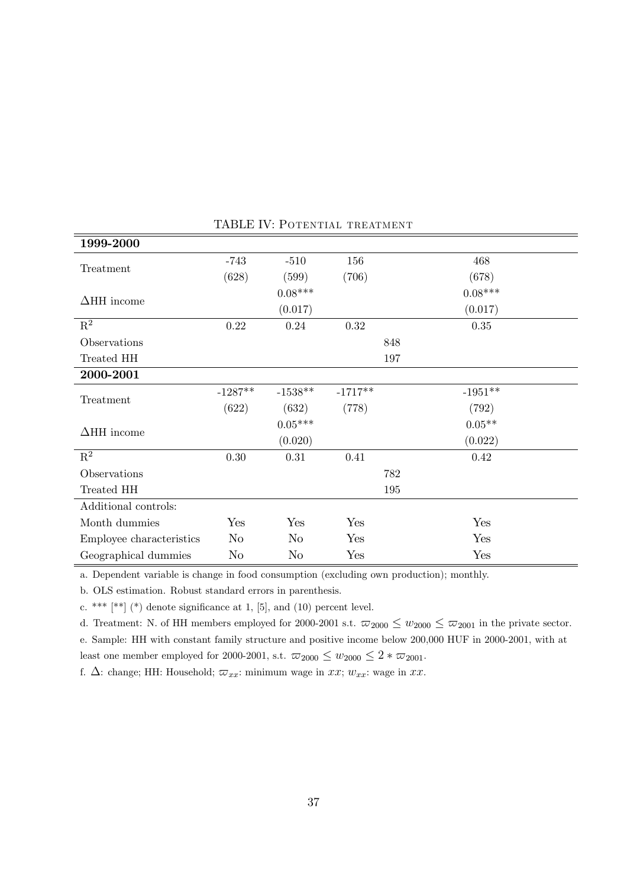| 1999-2000                |                |                |           |     |           |  |
|--------------------------|----------------|----------------|-----------|-----|-----------|--|
| Treatment                | $-743$         | $-510$         | 156       |     | 468       |  |
|                          | (628)          | (599)          | (706)     |     | (678)     |  |
| $\Delta$ HH income       |                | $0.08***$      |           |     | $0.08***$ |  |
|                          |                | (0.017)        |           |     | (0.017)   |  |
| $\mathbf{R}^2$           | $0.22\,$       | 0.24           | $0.32\,$  |     | $0.35\,$  |  |
| Observations             |                |                |           | 848 |           |  |
| Treated HH               |                |                |           | 197 |           |  |
| 2000-2001                |                |                |           |     |           |  |
| Treatment                | $-1287**$      | $-1538**$      | $-1717**$ |     | $-1951**$ |  |
|                          | (622)          | (632)          | (778)     |     | (792)     |  |
| $\Delta$ HH income       |                | $0.05***$      |           |     | $0.05**$  |  |
|                          |                | (0.020)        |           |     | (0.022)   |  |
| $\mathbf{R}^2$           | 0.30           | $0.31\,$       | 0.41      |     | 0.42      |  |
| Observations             |                |                |           | 782 |           |  |
| Treated HH               |                |                |           | 195 |           |  |
| Additional controls:     |                |                |           |     |           |  |
| Month dummies            | Yes            | Yes            | Yes       |     | Yes       |  |
| Employee characteristics | N <sub>o</sub> | N <sub>o</sub> | Yes       |     | Yes       |  |
| Geographical dummies     | No             | $\rm No$       | Yes       |     | Yes       |  |

## TABLE IV: POTENTIAL TREATMENT

a. Dependent variable is change in food consumption (excluding own production); monthly.

b. OLS estimation. Robust standard errors in parenthesis.

c. \*\*\*  $[$ \*\*]  $($ \*) denote significance at 1,  $[5]$ , and  $(10)$  percent level.

d. Treatment: N. of HH members employed for 2000-2001 s.t.  $\overline{\omega}_{2000} \leq w_{2000} \leq \overline{\omega}_{2001}$  in the private sector. e. Sample: HH with constant family structure and positive income below 200,000 HUF in 2000-2001, with at least one member employed for 2000-2001, s.t.  $\varpi_{2000} \leq w_{2000} \leq 2 * \varpi_{2001}$ .

f.  $\Delta$ : change; HH: Household;  $\varpi_{xx}$ : minimum wage in xx;  $w_{xx}$ : wage in xx.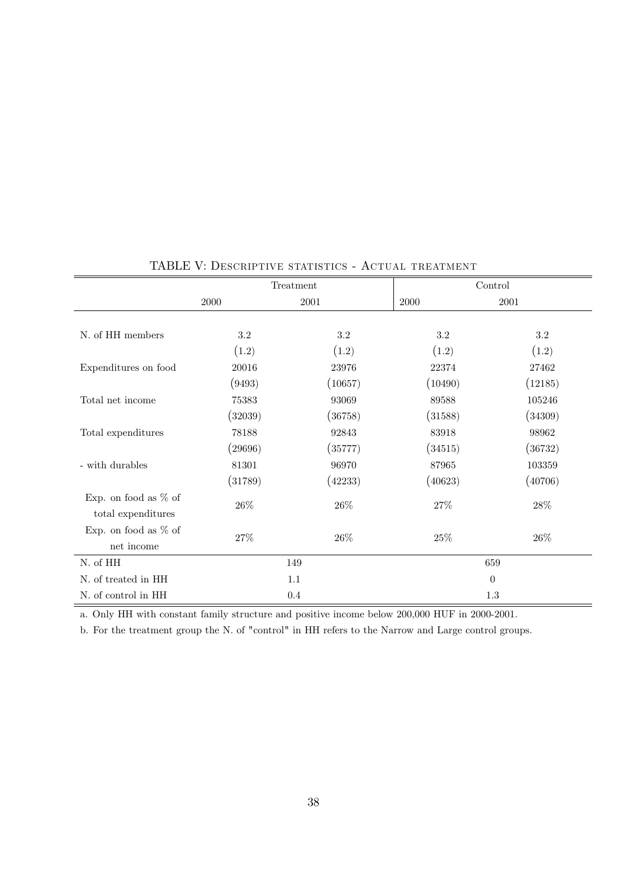|                                                       |         | Treatment | Control |                |  |  |
|-------------------------------------------------------|---------|-----------|---------|----------------|--|--|
|                                                       | 2000    | 2001      | 2000    | 2001           |  |  |
|                                                       |         |           |         |                |  |  |
| N. of HH members                                      | 3.2     | $3.2\,$   | 3.2     | 3.2            |  |  |
|                                                       | (1.2)   | (1.2)     | (1.2)   | (1.2)          |  |  |
| Expenditures on food                                  | 20016   | 23976     | 22374   | 27462          |  |  |
|                                                       | (9493)  | (10657)   | (10490) | (12185)        |  |  |
| Total net income                                      | 75383   | 93069     | 89588   | 105246         |  |  |
|                                                       | (32039) | (36758)   | (31588) | (34309)        |  |  |
| Total expenditures                                    | 78188   | 92843     | 83918   | 98962          |  |  |
|                                                       | (29696) | (35777)   | (34515) | (36732)        |  |  |
| - with durables                                       | 81301   | 96970     | 87965   | 103359         |  |  |
|                                                       | (31789) | (42233)   | (40623) | (40706)        |  |  |
| Exp. on food as $%$ of<br>total expenditures          | $26\%$  | $26\%$    | $27\%$  | $28\%$         |  |  |
| Exp. on food as $%$ of<br>$\operatorname{net}$ income | $27\%$  | $26\%$    | $25\%$  | $26\%$         |  |  |
| N. of HH                                              |         | 149       |         | 659            |  |  |
| N. of treated in HH                                   |         | 1.1       |         | $\overline{0}$ |  |  |
| N. of control in HH                                   |         | 0.4       |         | $1.3\,$        |  |  |

# TABLE V: DESCRIPTIVE STATISTICS - ACTUAL TREATMENT

a. Only HH with constant family structure and positive income below 200,000 HUF in 2000-2001.

b. For the treatment group the N. of "control" in HH refers to the Narrow and Large control groups.